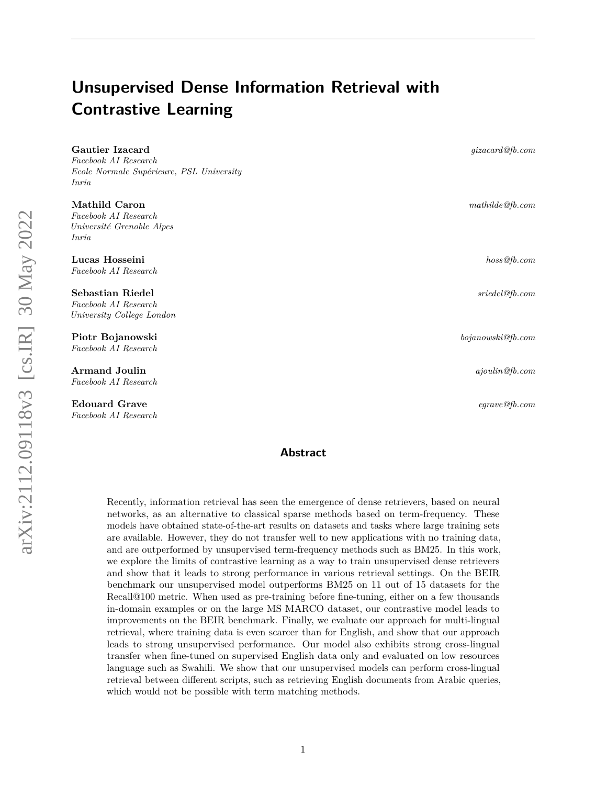# **Unsupervised Dense Information Retrieval with Contrastive Learning**

| <b>Gautier Izacard</b>                   | gizacard@fb.com              |
|------------------------------------------|------------------------------|
| Facebook AI Research                     |                              |
| Ecole Normale Supérieure, PSL University |                              |
| Inria                                    |                              |
| <b>Mathild Caron</b>                     | $mathwidehat{\omega}$ fb.com |
| Facebook AI Research                     |                              |
| Université Grenoble Alpes                |                              |
| Inria                                    |                              |
| Lucas Hosseini                           | hoss@fb.com                  |
| Facebook AI Research                     |                              |
| Sebastian Riedel                         | sriedel@fb.com               |
| Facebook AI Research                     |                              |
| University College London                |                              |
| Piotr Bojanowski                         | bojanowski@fb.com            |
| Facebook AI Research                     |                              |
| <b>Armand Joulin</b>                     | $a$ <i>joulin@fb.com</i>     |
| Facebook AI Research                     |                              |
| <b>Edouard Grave</b>                     | $\mathit{egrave@fb.com}$     |
| Facebook AI Research                     |                              |

# **Abstract**

Recently, information retrieval has seen the emergence of dense retrievers, based on neural networks, as an alternative to classical sparse methods based on term-frequency. These models have obtained state-of-the-art results on datasets and tasks where large training sets are available. However, they do not transfer well to new applications with no training data, and are outperformed by unsupervised term-frequency methods such as BM25. In this work, we explore the limits of contrastive learning as a way to train unsupervised dense retrievers and show that it leads to strong performance in various retrieval settings. On the BEIR benchmark our unsupervised model outperforms BM25 on 11 out of 15 datasets for the Recall@100 metric. When used as pre-training before fine-tuning, either on a few thousands in-domain examples or on the large MS MARCO dataset, our contrastive model leads to improvements on the BEIR benchmark. Finally, we evaluate our approach for multi-lingual retrieval, where training data is even scarcer than for English, and show that our approach leads to strong unsupervised performance. Our model also exhibits strong cross-lingual transfer when fine-tuned on supervised English data only and evaluated on low resources language such as Swahili. We show that our unsupervised models can perform cross-lingual retrieval between different scripts, such as retrieving English documents from Arabic queries, which would not be possible with term matching methods.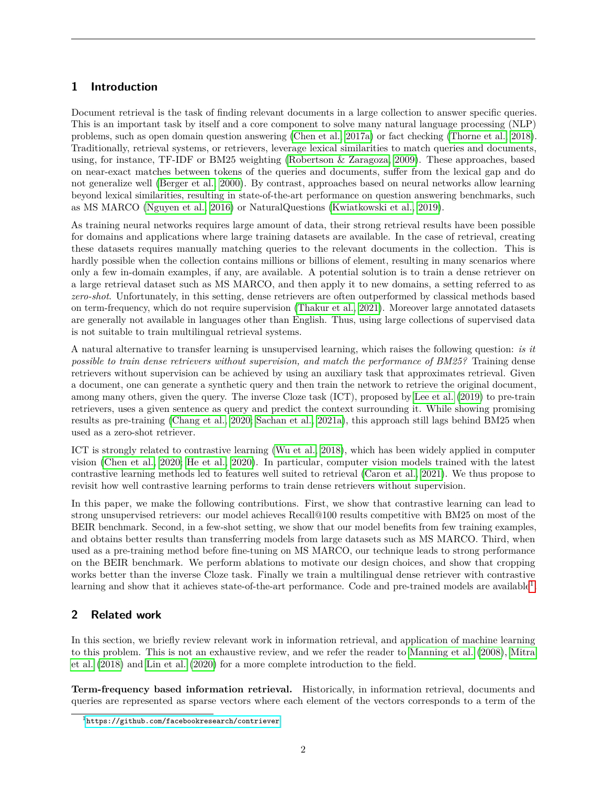# <span id="page-1-1"></span>**1 Introduction**

Document retrieval is the task of finding relevant documents in a large collection to answer specific queries. This is an important task by itself and a core component to solve many natural language processing (NLP) problems, such as open domain question answering [\(Chen et al., 2017a\)](#page-12-0) or fact checking [\(Thorne et al., 2018\)](#page-15-0). Traditionally, retrieval systems, or retrievers, leverage lexical similarities to match queries and documents, using, for instance, TF-IDF or BM25 weighting [\(Robertson & Zaragoza, 2009\)](#page-15-1). These approaches, based on near-exact matches between tokens of the queries and documents, suffer from the lexical gap and do not generalize well [\(Berger et al., 2000\)](#page-12-1). By contrast, approaches based on neural networks allow learning beyond lexical similarities, resulting in state-of-the-art performance on question answering benchmarks, such as MS MARCO [\(Nguyen et al., 2016\)](#page-15-2) or NaturalQuestions [\(Kwiatkowski et al., 2019\)](#page-14-0).

As training neural networks requires large amount of data, their strong retrieval results have been possible for domains and applications where large training datasets are available. In the case of retrieval, creating these datasets requires manually matching queries to the relevant documents in the collection. This is hardly possible when the collection contains millions or billions of element, resulting in many scenarios where only a few in-domain examples, if any, are available. A potential solution is to train a dense retriever on a large retrieval dataset such as MS MARCO, and then apply it to new domains, a setting referred to as *zero-shot*. Unfortunately, in this setting, dense retrievers are often outperformed by classical methods based on term-frequency, which do not require supervision [\(Thakur et al., 2021\)](#page-15-3). Moreover large annotated datasets are generally not available in languages other than English. Thus, using large collections of supervised data is not suitable to train multilingual retrieval systems.

A natural alternative to transfer learning is unsupervised learning, which raises the following question: *is it possible to train dense retrievers without supervision, and match the performance of BM25?* Training dense retrievers without supervision can be achieved by using an auxiliary task that approximates retrieval. Given a document, one can generate a synthetic query and then train the network to retrieve the original document, among many others, given the query. The inverse Cloze task (ICT), proposed by [Lee et al.](#page-14-1) [\(2019\)](#page-14-1) to pre-train retrievers, uses a given sentence as query and predict the context surrounding it. While showing promising results as pre-training [\(Chang et al., 2020;](#page-12-2) [Sachan et al., 2021a\)](#page-15-4), this approach still lags behind BM25 when used as a zero-shot retriever.

ICT is strongly related to contrastive learning [\(Wu et al., 2018\)](#page-15-5), which has been widely applied in computer vision [\(Chen et al., 2020;](#page-12-3) [He et al., 2020\)](#page-13-0). In particular, computer vision models trained with the latest contrastive learning methods led to features well suited to retrieval [\(Caron et al., 2021\)](#page-12-4). We thus propose to revisit how well contrastive learning performs to train dense retrievers without supervision.

In this paper, we make the following contributions. First, we show that contrastive learning can lead to strong unsupervised retrievers: our model achieves Recall@100 results competitive with BM25 on most of the BEIR benchmark. Second, in a few-shot setting, we show that our model benefits from few training examples, and obtains better results than transferring models from large datasets such as MS MARCO. Third, when used as a pre-training method before fine-tuning on MS MARCO, our technique leads to strong performance on the BEIR benchmark. We perform ablations to motivate our design choices, and show that cropping works better than the inverse Cloze task. Finally we train a multilingual dense retriever with contrastive learning and show that it achieves state-of-the-art performance. Code and pre-trained models are available<sup>[1](#page-1-0)</sup>.

# **2 Related work**

In this section, we briefly review relevant work in information retrieval, and application of machine learning to this problem. This is not an exhaustive review, and we refer the reader to [Manning et al.](#page-14-2) [\(2008\)](#page-14-2), [Mitra](#page-15-6) [et al.](#page-15-6) [\(2018\)](#page-15-6) and [Lin et al.](#page-14-3) [\(2020\)](#page-14-3) for a more complete introduction to the field.

**Term-frequency based information retrieval.** Historically, in information retrieval, documents and queries are represented as sparse vectors where each element of the vectors corresponds to a term of the

<span id="page-1-0"></span><sup>1</sup><https://github.com/facebookresearch/contriever>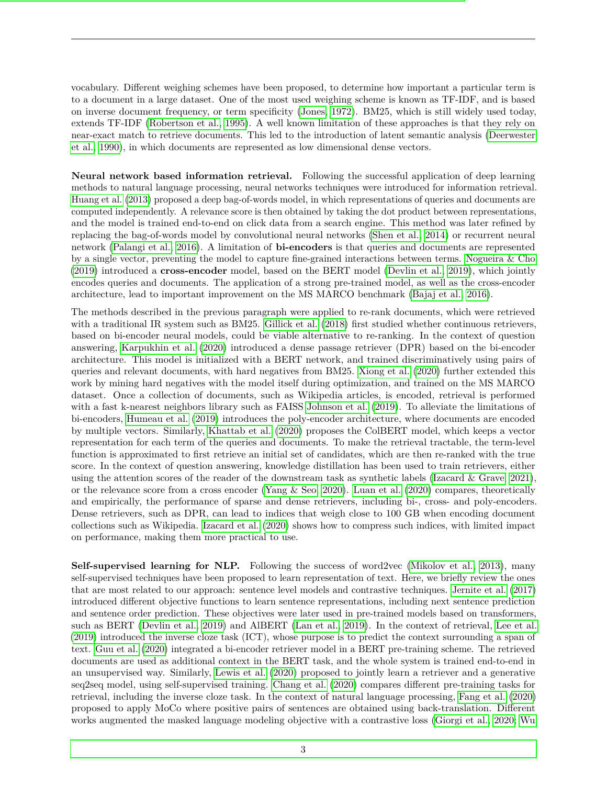<span id="page-2-0"></span>vocabulary. Different weighing schemes have been proposed, to determine how important a particular term is to a document in a large dataset. One of the most used weighing scheme is known as TF-IDF, and is based on inverse document frequency, or term specificity [\(Jones, 1972\)](#page-14-4). BM25, which is still widely used today, extends TF-IDF [\(Robertson et al., 1995\)](#page-15-7). A well known limitation of these approaches is that they rely on near-exact match to retrieve documents. This led to the introduction of latent semantic analysis [\(Deerwester](#page-13-1) [et al., 1990\)](#page-13-1), in which documents are represented as low dimensional dense vectors.

**Neural network based information retrieval.** Following the successful application of deep learning methods to natural language processing, neural networks techniques were introduced for information retrieval. [Huang et al.](#page-13-2) [\(2013\)](#page-13-2) proposed a deep bag-of-words model, in which representations of queries and documents are computed independently. A relevance score is then obtained by taking the dot product between representations, and the model is trained end-to-end on click data from a search engine. This method was later refined by replacing the bag-of-words model by convolutional neural networks [\(Shen et al., 2014\)](#page-15-8) or recurrent neural network [\(Palangi et al., 2016\)](#page-15-9). A limitation of **bi-encoders** is that queries and documents are represented by a single vector, preventing the model to capture fine-grained interactions between terms. [Nogueira & Cho](#page-15-10) [\(2019\)](#page-15-10) introduced a **cross-encoder** model, based on the BERT model [\(Devlin et al., 2019\)](#page-13-3), which jointly encodes queries and documents. The application of a strong pre-trained model, as well as the cross-encoder architecture, lead to important improvement on the MS MARCO benchmark [\(Bajaj et al., 2016\)](#page-12-5).

The methods described in the previous paragraph were applied to re-rank documents, which were retrieved with a traditional IR system such as BM25. [Gillick et al.](#page-13-4) [\(2018\)](#page-13-4) first studied whether continuous retrievers, based on bi-encoder neural models, could be viable alternative to re-ranking. In the context of question answering, [Karpukhin et al.](#page-14-5) [\(2020\)](#page-14-5) introduced a dense passage retriever (DPR) based on the bi-encoder architecture. This model is initialized with a BERT network, and trained discriminatively using pairs of queries and relevant documents, with hard negatives from BM25. [Xiong et al.](#page-15-11) [\(2020\)](#page-15-11) further extended this work by mining hard negatives with the model itself during optimization, and trained on the MS MARCO dataset. Once a collection of documents, such as Wikipedia articles, is encoded, retrieval is performed with a fast k-nearest neighbors library such as FAISS [Johnson et al.](#page-14-6) [\(2019\)](#page-14-6). To alleviate the limitations of bi-encoders, [Humeau et al.](#page-13-5) [\(2019\)](#page-13-5) introduces the poly-encoder architecture, where documents are encoded by multiple vectors. Similarly, [Khattab et al.](#page-14-7) [\(2020\)](#page-14-7) proposes the ColBERT model, which keeps a vector representation for each term of the queries and documents. To make the retrieval tractable, the term-level function is approximated to first retrieve an initial set of candidates, which are then re-ranked with the true score. In the context of question answering, knowledge distillation has been used to train retrievers, either using the attention scores of the reader of the downstream task as synthetic labels [\(Izacard & Grave, 2021\)](#page-13-6), or the relevance score from a cross encoder [\(Yang & Seo, 2020\)](#page-16-0). [Luan et al.](#page-14-8) [\(2020\)](#page-14-8) compares, theoretically and empirically, the performance of sparse and dense retrievers, including bi-, cross- and poly-encoders. Dense retrievers, such as DPR, can lead to indices that weigh close to 100 GB when encoding document collections such as Wikipedia. [Izacard et al.](#page-14-9) [\(2020\)](#page-14-9) shows how to compress such indices, with limited impact on performance, making them more practical to use.

**Self-supervised learning for NLP.** Following the success of word2vec [\(Mikolov et al., 2013\)](#page-15-12), many self-supervised techniques have been proposed to learn representation of text. Here, we briefly review the ones that are most related to our approach: sentence level models and contrastive techniques. [Jernite et al.](#page-14-10) [\(2017\)](#page-14-10) introduced different objective functions to learn sentence representations, including next sentence prediction and sentence order prediction. These objectives were later used in pre-trained models based on transformers, such as BERT [\(Devlin et al., 2019\)](#page-13-3) and AlBERT [\(Lan et al., 2019\)](#page-14-11). In the context of retrieval, [Lee et al.](#page-14-1) [\(2019\)](#page-14-1) introduced the inverse cloze task (ICT), whose purpose is to predict the context surrounding a span of text. [Guu et al.](#page-13-7) [\(2020\)](#page-13-7) integrated a bi-encoder retriever model in a BERT pre-training scheme. The retrieved documents are used as additional context in the BERT task, and the whole system is trained end-to-end in an unsupervised way. Similarly, [Lewis et al.](#page-14-12) [\(2020\)](#page-14-12) proposed to jointly learn a retriever and a generative seq2seq model, using self-supervised training. [Chang et al.](#page-12-2) [\(2020\)](#page-12-2) compares different pre-training tasks for retrieval, including the inverse cloze task. In the context of natural language processing, [Fang et al.](#page-13-8) [\(2020\)](#page-13-8) proposed to apply MoCo where positive pairs of sentences are obtained using back-translation. Different works augmented the masked language modeling objective with a contrastive loss [\(Giorgi et al., 2020;](#page-13-9) [Wu](#page-15-13)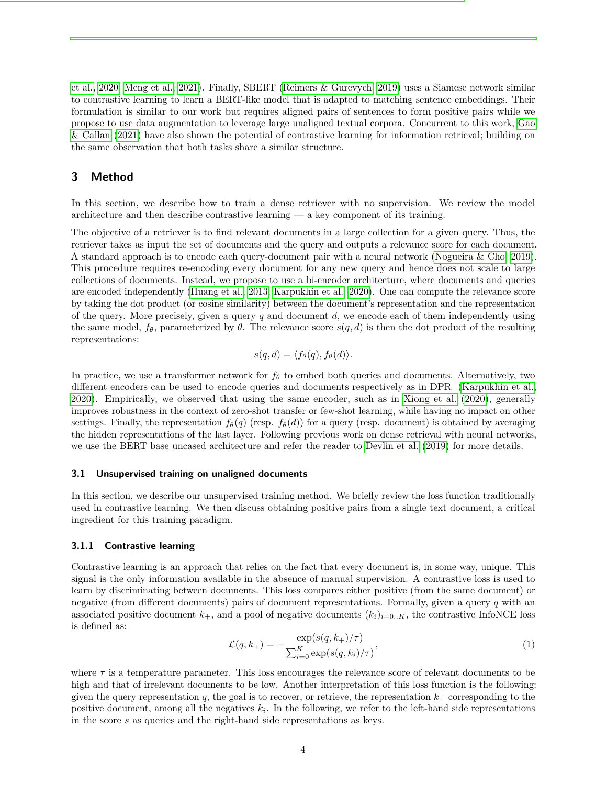<span id="page-3-0"></span>[et al., 2020;](#page-15-13) [Meng et al., 2021\)](#page-14-13). Finally, SBERT [\(Reimers & Gurevych, 2019\)](#page-15-14) uses a Siamese network similar to contrastive learning to learn a BERT-like model that is adapted to matching sentence embeddings. Their formulation is similar to our work but requires aligned pairs of sentences to form positive pairs while we propose to use data augmentation to leverage large unaligned textual corpora. Concurrent to this work, [Gao](#page-13-10) [& Callan](#page-13-10) [\(2021\)](#page-13-10) have also shown the potential of contrastive learning for information retrieval; building on the same observation that both tasks share a similar structure.

## **3 Method**

In this section, we describe how to train a dense retriever with no supervision. We review the model architecture and then describe contrastive learning  $-$  a key component of its training.

The objective of a retriever is to find relevant documents in a large collection for a given query. Thus, the retriever takes as input the set of documents and the query and outputs a relevance score for each document. A standard approach is to encode each query-document pair with a neural network [\(Nogueira & Cho, 2019\)](#page-15-10). This procedure requires re-encoding every document for any new query and hence does not scale to large collections of documents. Instead, we propose to use a bi-encoder architecture, where documents and queries are encoded independently [\(Huang et al., 2013;](#page-13-2) [Karpukhin et al., 2020\)](#page-14-5). One can compute the relevance score by taking the dot product (or cosine similarity) between the document's representation and the representation of the query. More precisely, given a query *q* and document *d*, we encode each of them independently using the same model,  $f_{\theta}$ , parameterized by  $\theta$ . The relevance score  $s(q, d)$  is then the dot product of the resulting representations:

$$
s(q, d) = \langle f_{\theta}(q), f_{\theta}(d) \rangle.
$$

In practice, we use a transformer network for  $f_{\theta}$  to embed both queries and documents. Alternatively, two different encoders can be used to encode queries and documents respectively as in DPR [\(Karpukhin et al.,](#page-14-5) [2020\)](#page-14-5). Empirically, we observed that using the same encoder, such as in [Xiong et al.](#page-15-11) [\(2020\)](#page-15-11), generally improves robustness in the context of zero-shot transfer or few-shot learning, while having no impact on other settings. Finally, the representation  $f_{\theta}(q)$  (resp.  $f_{\theta}(d)$ ) for a query (resp. document) is obtained by averaging the hidden representations of the last layer. Following previous work on dense retrieval with neural networks, we use the BERT base uncased architecture and refer the reader to [Devlin et al.](#page-13-3) [\(2019\)](#page-13-3) for more details.

#### **3.1 Unsupervised training on unaligned documents**

In this section, we describe our unsupervised training method. We briefly review the loss function traditionally used in contrastive learning. We then discuss obtaining positive pairs from a single text document, a critical ingredient for this training paradigm.

#### **3.1.1 Contrastive learning**

Contrastive learning is an approach that relies on the fact that every document is, in some way, unique. This signal is the only information available in the absence of manual supervision. A contrastive loss is used to learn by discriminating between documents. This loss compares either positive (from the same document) or negative (from different documents) pairs of document representations. Formally, given a query *q* with an associated positive document  $k_{+}$ , and a pool of negative documents  $(k_i)_{i=0..K}$ , the contrastive InfoNCE loss is defined as:

$$
\mathcal{L}(q, k_{+}) = -\frac{\exp(s(q, k_{+})/\tau)}{\sum_{i=0}^{K} \exp(s(q, k_{i})/\tau)},
$$
\n(1)

where  $\tau$  is a temperature parameter. This loss encourages the relevance score of relevant documents to be high and that of irrelevant documents to be low. Another interpretation of this loss function is the following: given the query representation  $q$ , the goal is to recover, or retrieve, the representation  $k_{+}$  corresponding to the positive document, among all the negatives *k<sup>i</sup>* . In the following, we refer to the left-hand side representations in the score *s* as queries and the right-hand side representations as keys.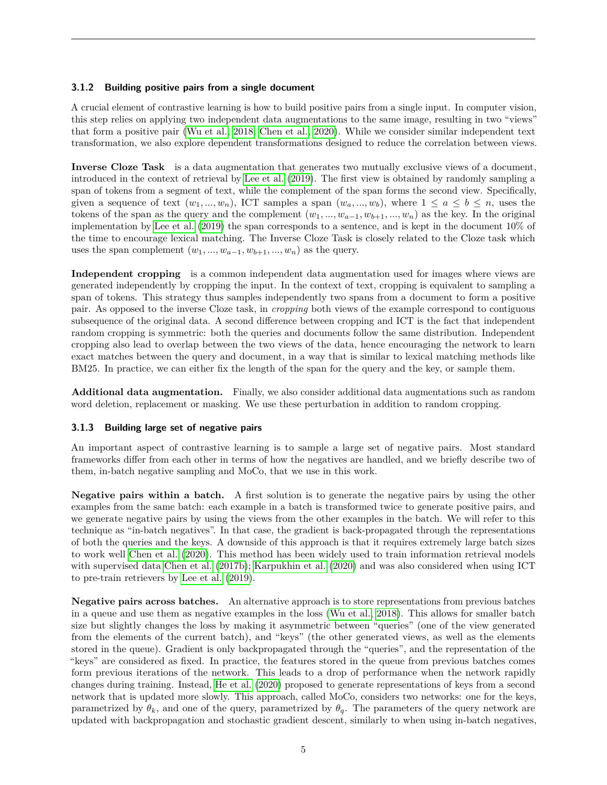## <span id="page-4-0"></span>**3.1.2 Building positive pairs from a single document**

A crucial element of contrastive learning is how to build positive pairs from a single input. In computer vision, this step relies on applying two independent data augmentations to the same image, resulting in two "views" that form a positive pair [\(Wu et al., 2018;](#page-15-5) [Chen et al., 2020\)](#page-12-3). While we consider similar independent text transformation, we also explore dependent transformations designed to reduce the correlation between views.

**Inverse Cloze Task** is a data augmentation that generates two mutually exclusive views of a document, introduced in the context of retrieval by [Lee et al.](#page-14-1) [\(2019\)](#page-14-1). The first view is obtained by randomly sampling a span of tokens from a segment of text, while the complement of the span forms the second view. Specifically, given a sequence of text  $(w_1, ..., w_n)$ , ICT samples a span  $(w_a, ..., w_b)$ , where  $1 \le a \le b \le n$ , uses the tokens of the span as the query and the complement  $(w_1, ..., w_{a-1}, w_{b+1}, ..., w_n)$  as the key. In the original implementation by [Lee et al.](#page-14-1) [\(2019\)](#page-14-1) the span corresponds to a sentence, and is kept in the document 10% of the time to encourage lexical matching. The Inverse Cloze Task is closely related to the Cloze task which uses the span complement  $(w_1, ..., w_{a-1}, w_{b+1}, ..., w_n)$  as the query.

**Independent cropping** is a common independent data augmentation used for images where views are generated independently by cropping the input. In the context of text, cropping is equivalent to sampling a span of tokens. This strategy thus samples independently two spans from a document to form a positive pair. As opposed to the inverse Cloze task, in *cropping* both views of the example correspond to contiguous subsequence of the original data. A second difference between cropping and ICT is the fact that independent random cropping is symmetric: both the queries and documents follow the same distribution. Independent cropping also lead to overlap between the two views of the data, hence encouraging the network to learn exact matches between the query and document, in a way that is similar to lexical matching methods like BM25. In practice, we can either fix the length of the span for the query and the key, or sample them.

**Additional data augmentation.** Finally, we also consider additional data augmentations such as random word deletion, replacement or masking. We use these perturbation in addition to random cropping.

#### **3.1.3 Building large set of negative pairs**

An important aspect of contrastive learning is to sample a large set of negative pairs. Most standard frameworks differ from each other in terms of how the negatives are handled, and we briefly describe two of them, in-batch negative sampling and MoCo, that we use in this work.

**Negative pairs within a batch.** A first solution is to generate the negative pairs by using the other examples from the same batch: each example in a batch is transformed twice to generate positive pairs, and we generate negative pairs by using the views from the other examples in the batch. We will refer to this technique as "in-batch negatives". In that case, the gradient is back-propagated through the representations of both the queries and the keys. A downside of this approach is that it requires extremely large batch sizes to work well [Chen et al.](#page-12-3) [\(2020\)](#page-12-3). This method has been widely used to train information retrieval models with supervised data [Chen et al.](#page-12-6) [\(2017b\)](#page-12-6); [Karpukhin et al.](#page-14-5) [\(2020\)](#page-14-5) and was also considered when using ICT to pre-train retrievers by [Lee et al.](#page-14-1) [\(2019\)](#page-14-1).

**Negative pairs across batches.** An alternative approach is to store representations from previous batches in a queue and use them as negative examples in the loss [\(Wu et al., 2018\)](#page-15-5). This allows for smaller batch size but slightly changes the loss by making it asymmetric between "queries" (one of the view generated from the elements of the current batch), and "keys" (the other generated views, as well as the elements stored in the queue). Gradient is only backpropagated through the "queries", and the representation of the "keys" are considered as fixed. In practice, the features stored in the queue from previous batches comes form previous iterations of the network. This leads to a drop of performance when the network rapidly changes during training. Instead, [He et al.](#page-13-0) [\(2020\)](#page-13-0) proposed to generate representations of keys from a second network that is updated more slowly. This approach, called MoCo, considers two networks: one for the keys, parametrized by  $\theta_k$ , and one of the query, parametrized by  $\theta_q$ . The parameters of the query network are updated with backpropagation and stochastic gradient descent, similarly to when using in-batch negatives,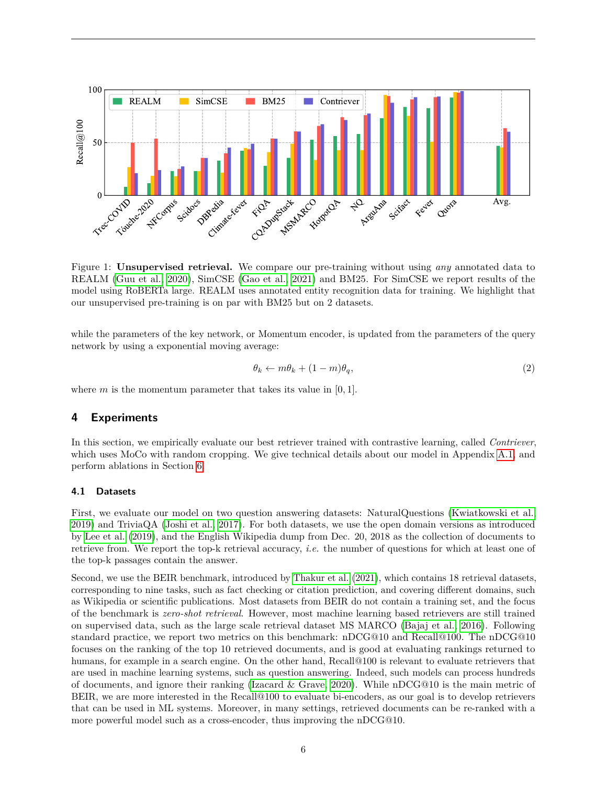<span id="page-5-1"></span>

<span id="page-5-0"></span>Figure 1: **Unsupervised retrieval.** We compare our pre-training without using *any* annotated data to REALM [\(Guu et al., 2020\)](#page-13-7), SimCSE [\(Gao et al., 2021\)](#page-13-11) and BM25. For SimCSE we report results of the model using RoBERTa large. REALM uses annotated entity recognition data for training. We highlight that our unsupervised pre-training is on par with BM25 but on 2 datasets.

while the parameters of the key network, or Momentum encoder, is updated from the parameters of the query network by using a exponential moving average:

$$
\theta_k \leftarrow m\theta_k + (1 - m)\theta_q,\tag{2}
$$

where  $m$  is the momentum parameter that takes its value in  $[0, 1]$ .

#### **4 Experiments**

In this section, we empirically evaluate our best retriever trained with contrastive learning, called *Contriever*, which uses MoCo with random cropping. We give technical details about our model in Appendix [A.1,](#page-16-1) and perform ablations in Section [6.](#page-10-0)

#### **4.1 Datasets**

First, we evaluate our model on two question answering datasets: NaturalQuestions [\(Kwiatkowski et al.,](#page-14-0) [2019\)](#page-14-0) and TriviaQA [\(Joshi et al., 2017\)](#page-14-14). For both datasets, we use the open domain versions as introduced by [Lee et al.](#page-14-1) [\(2019\)](#page-14-1), and the English Wikipedia dump from Dec. 20, 2018 as the collection of documents to retrieve from. We report the top-k retrieval accuracy, *i.e.* the number of questions for which at least one of the top-k passages contain the answer.

Second, we use the BEIR benchmark, introduced by [Thakur et al.](#page-15-3) [\(2021\)](#page-15-3), which contains 18 retrieval datasets, corresponding to nine tasks, such as fact checking or citation prediction, and covering different domains, such as Wikipedia or scientific publications. Most datasets from BEIR do not contain a training set, and the focus of the benchmark is *zero-shot retrieval*. However, most machine learning based retrievers are still trained on supervised data, such as the large scale retrieval dataset MS MARCO [\(Bajaj et al., 2016\)](#page-12-5). Following standard practice, we report two metrics on this benchmark: nDCG@10 and Recall@100. The nDCG@10 focuses on the ranking of the top 10 retrieved documents, and is good at evaluating rankings returned to humans, for example in a search engine. On the other hand, Recall@100 is relevant to evaluate retrievers that are used in machine learning systems, such as question answering. Indeed, such models can process hundreds of documents, and ignore their ranking [\(Izacard & Grave, 2020\)](#page-13-12). While nDCG@10 is the main metric of BEIR, we are more interested in the Recall@100 to evaluate bi-encoders, as our goal is to develop retrievers that can be used in ML systems. Moreover, in many settings, retrieved documents can be re-ranked with a more powerful model such as a cross-encoder, thus improving the nDCG@10.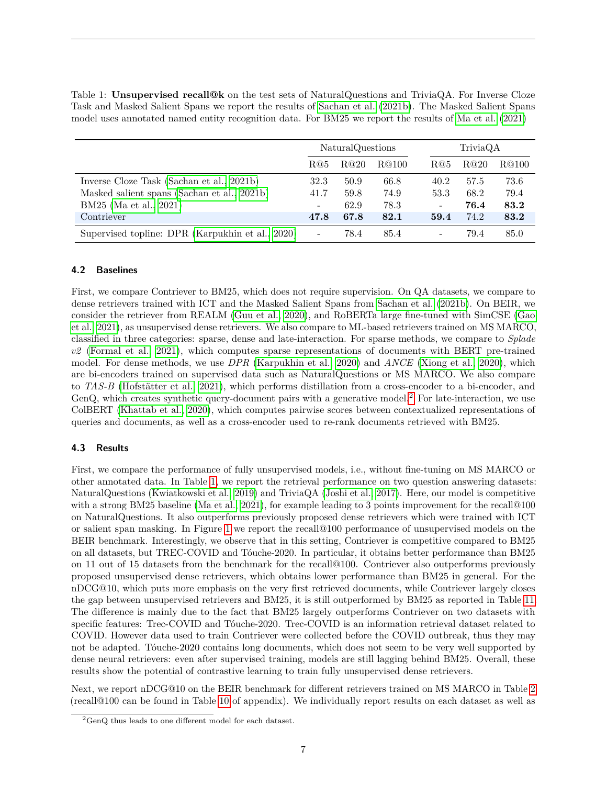<span id="page-6-2"></span><span id="page-6-1"></span>Table 1: **Unsupervised recall@k** on the test sets of NaturalQuestions and TriviaQA. For Inverse Cloze Task and Masked Salient Spans we report the results of [Sachan et al.](#page-15-15) [\(2021b\)](#page-15-15). The Masked Salient Spans model uses annotated named entity recognition data. For BM25 we report the results of [Ma et al.](#page-14-15) [\(2021\)](#page-14-15)

|                                                  |                          | NaturalQuestions |       |                          | TriviaQA |       |
|--------------------------------------------------|--------------------------|------------------|-------|--------------------------|----------|-------|
|                                                  | R@5                      | R@20             | R@100 | R@5                      | R@20     | R@100 |
| Inverse Cloze Task (Sachan et al., 2021b)        | 32.3                     | 50.9             | 66.8  | 40.2                     | 57.5     | 73.6  |
| Masked salient spans (Sachan et al., 2021b)      | 41.7                     | 59.8             | 74.9  | 53.3                     | 68.2     | 79.4  |
| BM25 (Ma et al., 2021)                           | $\overline{\phantom{a}}$ | 62.9             | 78.3  | $\overline{\phantom{a}}$ | 76.4     | 83.2  |
| Contriever                                       | 47.8                     | 67.8             | 82.1  | 59.4                     | 74.2     | 83.2  |
| Supervised topline: DPR (Karpukhin et al., 2020) |                          | 78.4             | 85.4  | -                        | 79.4     | 85.0  |

## **4.2 Baselines**

First, we compare Contriever to BM25, which does not require supervision. On QA datasets, we compare to dense retrievers trained with ICT and the Masked Salient Spans from [Sachan et al.](#page-15-15) [\(2021b\)](#page-15-15). On BEIR, we consider the retriever from REALM [\(Guu et al., 2020\)](#page-13-7), and RoBERTa large fine-tuned with SimCSE [\(Gao](#page-13-11) [et al., 2021\)](#page-13-11), as unsupervised dense retrievers. We also compare to ML-based retrievers trained on MS MARCO, classified in three categories: sparse, dense and late-interaction. For sparse methods, we compare to *Splade v2* [\(Formal et al., 2021\)](#page-13-13), which computes sparse representations of documents with BERT pre-trained model. For dense methods, we use *DPR* [\(Karpukhin et al., 2020\)](#page-14-5) and *ANCE* [\(Xiong et al., 2020\)](#page-15-11), which are bi-encoders trained on supervised data such as NaturalQuestions or MS MARCO. We also compare to *TAS-B* [\(Hofstätter et al., 2021\)](#page-13-14), which performs distillation from a cross-encoder to a bi-encoder, and GenQ, which creates synthetic query-document pairs with a generative model.<sup>[2](#page-6-0)</sup> For late-interaction, we use ColBERT [\(Khattab et al., 2020\)](#page-14-7), which computes pairwise scores between contextualized representations of queries and documents, as well as a cross-encoder used to re-rank documents retrieved with BM25.

#### **4.3 Results**

First, we compare the performance of fully unsupervised models, i.e., without fine-tuning on MS MARCO or other annotated data. In Table [1,](#page-6-1) we report the retrieval performance on two question answering datasets: NaturalQuestions [\(Kwiatkowski et al., 2019\)](#page-14-0) and TriviaQA [\(Joshi et al., 2017\)](#page-14-14). Here, our model is competitive with a strong BM25 baseline [\(Ma et al., 2021\)](#page-14-15), for example leading to 3 points improvement for the recall@100 on NaturalQuestions. It also outperforms previously proposed dense retrievers which were trained with ICT or salient span masking. In Figure [1](#page-5-0) we report the recall@100 performance of unsupervised models on the BEIR benchmark. Interestingly, we observe that in this setting, Contriever is competitive compared to BM25 on all datasets, but TREC-COVID and Tóuche-2020. In particular, it obtains better performance than BM25 on 11 out of 15 datasets from the benchmark for the recall@100. Contriever also outperforms previously proposed unsupervised dense retrievers, which obtains lower performance than BM25 in general. For the nDCG@10, which puts more emphasis on the very first retrieved documents, while Contriever largely closes the gap between unsupervised retrievers and BM25, it is still outperformed by BM25 as reported in Table [11.](#page-18-0) The difference is mainly due to the fact that BM25 largely outperforms Contriever on two datasets with specific features: Trec-COVID and Tóuche-2020. Trec-COVID is an information retrieval dataset related to COVID. However data used to train Contriever were collected before the COVID outbreak, thus they may not be adapted. Tóuche-2020 contains long documents, which does not seem to be very well supported by dense neural retrievers: even after supervised training, models are still lagging behind BM25. Overall, these results show the potential of contrastive learning to train fully unsupervised dense retrievers.

Next, we report nDCG@10 on the BEIR benchmark for different retrievers trained on MS MARCO in Table [2](#page-7-0) (recall@100 can be found in Table [10](#page-17-0) of appendix). We individually report results on each dataset as well as

<span id="page-6-0"></span><sup>2</sup>GenQ thus leads to one different model for each dataset.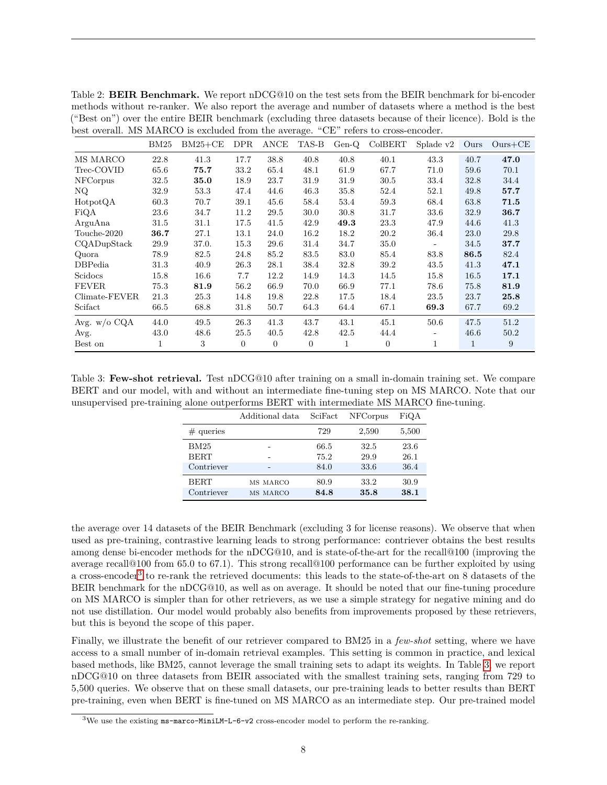<span id="page-7-0"></span>Table 2: **BEIR Benchmark.** We report nDCG@10 on the test sets from the BEIR benchmark for bi-encoder methods without re-ranker. We also report the average and number of datasets where a method is the best ("Best on") over the entire BEIR benchmark (excluding three datasets because of their licence). Bold is the best overall. MS MARCO is excluded from the average. "CE" refers to cross-encoder.

|                  | BM25 | $BM25+CE$ | <b>DPR</b> | ANCE             | TAS-B          | $Gen-Q$ | ColBERT        | Splade v2                | Ours         | $Ours + CE$ |
|------------------|------|-----------|------------|------------------|----------------|---------|----------------|--------------------------|--------------|-------------|
| MS MARCO         | 22.8 | 41.3      | 17.7       | 38.8             | 40.8           | 40.8    | 40.1           | 43.3                     | 40.7         | 47.0        |
| Trec-COVID       | 65.6 | 75.7      | 33.2       | 65.4             | 48.1           | 61.9    | 67.7           | 71.0                     | 59.6         | 70.1        |
| <b>NFC</b> orpus | 32.5 | 35.0      | 18.9       | 23.7             | 31.9           | 31.9    | 30.5           | 33.4                     | 32.8         | 34.4        |
| NQ               | 32.9 | 53.3      | 47.4       | 44.6             | 46.3           | 35.8    | 52.4           | 52.1                     | 49.8         | 57.7        |
| HotpotQA         | 60.3 | 70.7      | 39.1       | 45.6             | 58.4           | 53.4    | 59.3           | 68.4                     | 63.8         | 71.5        |
| FiQA             | 23.6 | 34.7      | 11.2       | 29.5             | 30.0           | 30.8    | 31.7           | 33.6                     | 32.9         | 36.7        |
| ArguAna          | 31.5 | 31.1      | 17.5       | 41.5             | 42.9           | 49.3    | 23.3           | 47.9                     | 44.6         | 41.3        |
| Touche-2020      | 36.7 | 27.1      | 13.1       | 24.0             | 16.2           | 18.2    | 20.2           | 36.4                     | 23.0         | 29.8        |
| CQADupStack      | 29.9 | 37.0.     | 15.3       | 29.6             | 31.4           | 34.7    | 35.0           | $\overline{\phantom{a}}$ | 34.5         | 37.7        |
| Quora            | 78.9 | 82.5      | 24.8       | 85.2             | 83.5           | 83.0    | 85.4           | 83.8                     | 86.5         | 82.4        |
| <b>DBPedia</b>   | 31.3 | 40.9      | 26.3       | 28.1             | 38.4           | 32.8    | 39.2           | 43.5                     | 41.3         | 47.1        |
| Scidocs          | 15.8 | 16.6      | 7.7        | 12.2             | 14.9           | 14.3    | 14.5           | 15.8                     | 16.5         | 17.1        |
| <b>FEVER</b>     | 75.3 | 81.9      | 56.2       | 66.9             | 70.0           | 66.9    | 77.1           | 78.6                     | 75.8         | 81.9        |
| Climate-FEVER    | 21.3 | 25.3      | 14.8       | 19.8             | 22.8           | 17.5    | 18.4           | 23.5                     | 23.7         | 25.8        |
| Scifact          | 66.5 | 68.8      | 31.8       | 50.7             | 64.3           | 64.4    | 67.1           | 69.3                     | 67.7         | 69.2        |
| Avg. $w/o$ CQA   | 44.0 | 49.5      | 26.3       | 41.3             | 43.7           | 43.1    | 45.1           | 50.6                     | 47.5         | 51.2        |
| Avg.             | 43.0 | 48.6      | 25.5       | 40.5             | 42.8           | 42.5    | 44.4           | $\overline{\phantom{0}}$ | 46.6         | 50.2        |
| Best on          | 1    | 3         | $\theta$   | $\boldsymbol{0}$ | $\overline{0}$ | 1       | $\overline{0}$ | $\mathbf 1$              | $\mathbf{1}$ | 9           |

<span id="page-7-2"></span>Table 3: **Few-shot retrieval.** Test nDCG@10 after training on a small in-domain training set. We compare BERT and our model, with and without an intermediate fine-tuning step on MS MARCO. Note that our unsupervised pre-training alone outperforms BERT with intermediate MS MARCO fine-tuning.

|              | Additional data | SciFact | <b>NFC</b> orpus | FiQA  |
|--------------|-----------------|---------|------------------|-------|
| $\#$ queries |                 | 729     | 2,590            | 5,500 |
| <b>BM25</b>  |                 | 66.5    | 32.5             | 23.6  |
| <b>BERT</b>  | -               | 75.2    | 29.9             | 26.1  |
| Contriever   | -               | 84.0    | 33.6             | 36.4  |
| <b>BERT</b>  | MS MARCO        | 80.9    | 33.2             | 30.9  |
| Contriever   | MS MARCO        | 84.8    | 35.8             | 38.1  |

the average over 14 datasets of the BEIR Benchmark (excluding 3 for license reasons). We observe that when used as pre-training, contrastive learning leads to strong performance: contriever obtains the best results among dense bi-encoder methods for the nDCG@10, and is state-of-the-art for the recall@100 (improving the average recall@100 from 65.0 to 67.1). This strong recall@100 performance can be further exploited by using a cross-encoder<sup>[3](#page-7-1)</sup> to re-rank the retrieved documents: this leads to the state-of-the-art on 8 datasets of the BEIR benchmark for the nDCG@10, as well as on average. It should be noted that our fine-tuning procedure on MS MARCO is simpler than for other retrievers, as we use a simple strategy for negative mining and do not use distillation. Our model would probably also benefits from improvements proposed by these retrievers, but this is beyond the scope of this paper.

Finally, we illustrate the benefit of our retriever compared to BM25 in a *few-shot* setting, where we have access to a small number of in-domain retrieval examples. This setting is common in practice, and lexical based methods, like BM25, cannot leverage the small training sets to adapt its weights. In Table [3,](#page-7-2) we report nDCG@10 on three datasets from BEIR associated with the smallest training sets, ranging from 729 to 5,500 queries. We observe that on these small datasets, our pre-training leads to better results than BERT pre-training, even when BERT is fine-tuned on MS MARCO as an intermediate step. Our pre-trained model

<span id="page-7-1"></span><sup>&</sup>lt;sup>3</sup>We use the existing ms-marco-MiniLM-L-6-v2 cross-encoder model to perform the re-ranking.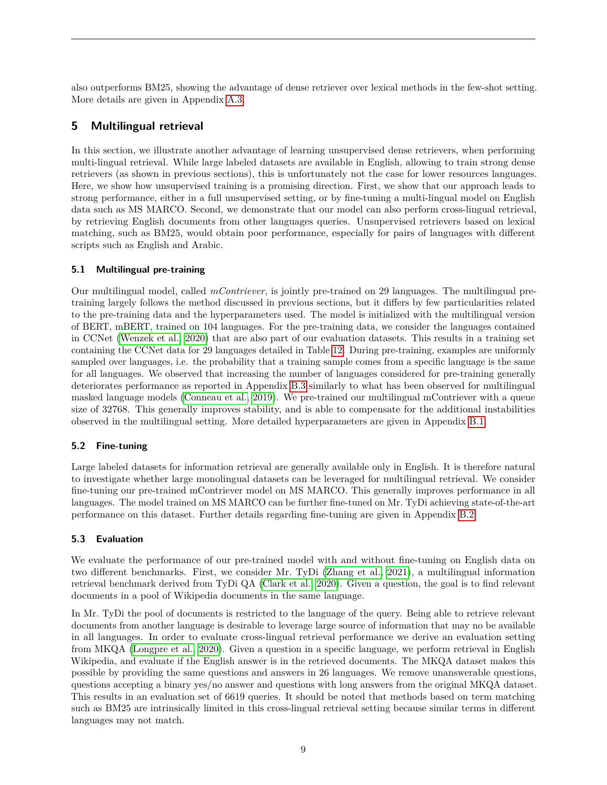<span id="page-8-0"></span>also outperforms BM25, showing the advantage of dense retriever over lexical methods in the few-shot setting. More details are given in Appendix [A.3.](#page-16-2)

# **5 Multilingual retrieval**

In this section, we illustrate another advantage of learning unsupervised dense retrievers, when performing multi-lingual retrieval. While large labeled datasets are available in English, allowing to train strong dense retrievers (as shown in previous sections), this is unfortunately not the case for lower resources languages. Here, we show how unsupervised training is a promising direction. First, we show that our approach leads to strong performance, either in a full unsupervised setting, or by fine-tuning a multi-lingual model on English data such as MS MARCO. Second, we demonstrate that our model can also perform cross-lingual retrieval, by retrieving English documents from other languages queries. Unsupervised retrievers based on lexical matching, such as BM25, would obtain poor performance, especially for pairs of languages with different scripts such as English and Arabic.

## **5.1 Multilingual pre-training**

Our multilingual model, called *mContriever*, is jointly pre-trained on 29 languages. The multilingual pretraining largely follows the method discussed in previous sections, but it differs by few particularities related to the pre-training data and the hyperparameters used. The model is initialized with the multilingual version of BERT, mBERT, trained on 104 languages. For the pre-training data, we consider the languages contained in CCNet [\(Wenzek et al., 2020\)](#page-15-16) that are also part of our evaluation datasets. This results in a training set containing the CCNet data for 29 languages detailed in Table [12.](#page-19-0) During pre-training, examples are uniformly sampled over languages, i.e. the probability that a training sample comes from a specific language is the same for all languages. We observed that increasing the number of languages considered for pre-training generally deteriorates performance as reported in Appendix [B.3](#page-17-1) similarly to what has been observed for multilingual masked language models [\(Conneau et al., 2019\)](#page-13-15). We pre-trained our multilingual mContriever with a queue size of 32768. This generally improves stability, and is able to compensate for the additional instabilities observed in the multilingual setting. More detailed hyperparameters are given in Appendix [B.1.](#page-16-3)

## **5.2 Fine-tuning**

Large labeled datasets for information retrieval are generally available only in English. It is therefore natural to investigate whether large monolingual datasets can be leveraged for multilingual retrieval. We consider fine-tuning our pre-trained mContriever model on MS MARCO. This generally improves performance in all languages. The model trained on MS MARCO can be further fine-tuned on Mr. TyDi achieving state-of-the-art performance on this dataset. Further details regarding fine-tuning are given in Appendix [B.2.](#page-16-4)

## <span id="page-8-1"></span>**5.3 Evaluation**

We evaluate the performance of our pre-trained model with and without fine-tuning on English data on two different benchmarks. First, we consider Mr. TyDi [\(Zhang et al., 2021\)](#page-16-5), a multilingual information retrieval benchmark derived from TyDi QA [\(Clark et al., 2020\)](#page-13-16). Given a question, the goal is to find relevant documents in a pool of Wikipedia documents in the same language.

In Mr. TyDi the pool of documents is restricted to the language of the query. Being able to retrieve relevant documents from another language is desirable to leverage large source of information that may no be available in all languages. In order to evaluate cross-lingual retrieval performance we derive an evaluation setting from MKQA [\(Longpre et al., 2020\)](#page-14-16). Given a question in a specific language, we perform retrieval in English Wikipedia, and evaluate if the English answer is in the retrieved documents. The MKQA dataset makes this possible by providing the same questions and answers in 26 languages. We remove unanswerable questions, questions accepting a binary yes/no answer and questions with long answers from the original MKQA dataset. This results in an evaluation set of 6619 queries. It should be noted that methods based on term matching such as BM25 are intrinsically limited in this cross-lingual retrieval setting because similar terms in different languages may not match.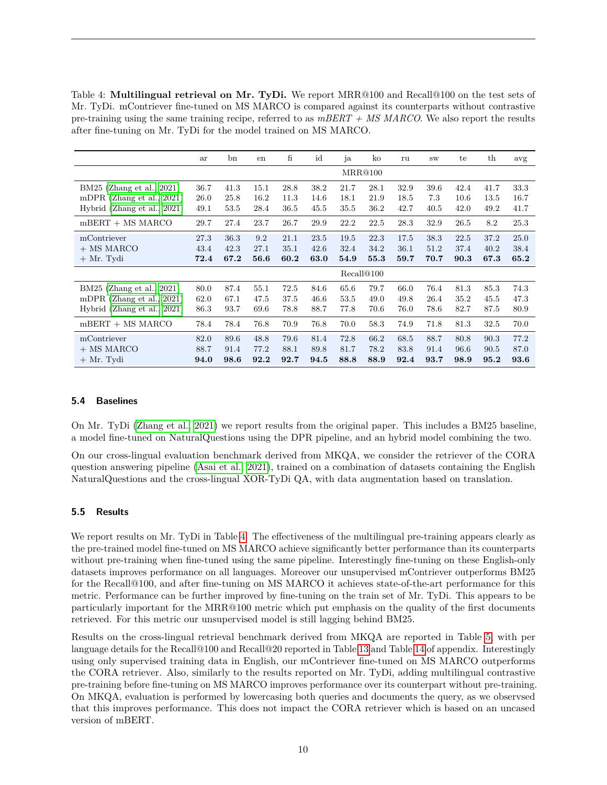<span id="page-9-1"></span><span id="page-9-0"></span>Table 4: **Multilingual retrieval on Mr. TyDi.** We report MRR@100 and Recall@100 on the test sets of Mr. TyDi. mContriever fine-tuned on MS MARCO is compared against its counterparts without contrastive pre-training using the same training recipe, referred to as *mBERT + MS MARCO*. We also report the results after fine-tuning on Mr. TyDi for the model trained on MS MARCO.

|                                                                                       | ar                   | bn                   | en                   | $\mathbf f$          | id                   | ja                   | ko                   | ru                   | <b>SW</b>            | te                   | th                   | avg                  |
|---------------------------------------------------------------------------------------|----------------------|----------------------|----------------------|----------------------|----------------------|----------------------|----------------------|----------------------|----------------------|----------------------|----------------------|----------------------|
|                                                                                       |                      |                      |                      |                      |                      |                      | MRR@100              |                      |                      |                      |                      |                      |
| BM25 (Zhang et al., 2021)<br>mDPR (Zhang et al., 2021)<br>Hybrid (Zhang et al., 2021) | 36.7<br>26.0<br>49.1 | 41.3<br>25.8<br>53.5 | 15.1<br>16.2<br>28.4 | 28.8<br>11.3<br>36.5 | 38.2<br>14.6<br>45.5 | 21.7<br>18.1<br>35.5 | 28.1<br>21.9<br>36.2 | 32.9<br>18.5<br>42.7 | 39.6<br>7.3<br>40.5  | 42.4<br>10.6<br>42.0 | 41.7<br>13.5<br>49.2 | 33.3<br>16.7<br>41.7 |
| $mBERT + MS MARCO$                                                                    | 29.7                 | 27.4                 | 23.7                 | 26.7                 | 29.9                 | 22.2                 | 22.5                 | 28.3                 | 32.9                 | 26.5                 | 8.2                  | 25.3                 |
| mContriever<br>$+$ MS MARCO<br>$+$ Mr. Tydi                                           | 27.3<br>43.4<br>72.4 | 36.3<br>42.3<br>67.2 | 9.2<br>27.1<br>56.6  | 21.1<br>35.1<br>60.2 | 23.5<br>42.6<br>63.0 | 19.5<br>32.4<br>54.9 | 22.3<br>34.2<br>55.3 | 17.5<br>36.1<br>59.7 | 38.3<br>51.2<br>70.7 | 22.5<br>37.4<br>90.3 | 37.2<br>40.2<br>67.3 | 25.0<br>38.4<br>65.2 |
|                                                                                       |                      |                      |                      |                      |                      |                      | Recall@100           |                      |                      |                      |                      |                      |
| BM25 (Zhang et al., 2021)<br>mDPR (Zhang et al., 2021)<br>Hybrid (Zhang et al., 2021) | 80.0<br>62.0<br>86.3 | 87.4<br>67.1<br>93.7 | 55.1<br>47.5<br>69.6 | 72.5<br>37.5<br>78.8 | 84.6<br>46.6<br>88.7 | 65.6<br>53.5<br>77.8 | 79.7<br>49.0<br>70.6 | 66.0<br>49.8<br>76.0 | 76.4<br>26.4<br>78.6 | 81.3<br>35.2<br>82.7 | 85.3<br>45.5<br>87.5 | 74.3<br>47.3<br>80.9 |
| $mBERT + MS MARCO$                                                                    | 78.4                 | 78.4                 | 76.8                 | 70.9                 | 76.8                 | 70.0                 | 58.3                 | 74.9                 | 71.8                 | 81.3                 | 32.5                 | 70.0                 |
| mContriever<br>$+$ MS MARCO<br>$+$ Mr. Tydi                                           | 82.0<br>88.7<br>94.0 | 89.6<br>91.4<br>98.6 | 48.8<br>77.2<br>92.2 | 79.6<br>88.1<br>92.7 | 81.4<br>89.8<br>94.5 | 72.8<br>81.7<br>88.8 | 66.2<br>78.2<br>88.9 | 68.5<br>83.8<br>92.4 | 88.7<br>91.4<br>93.7 | 80.8<br>96.6<br>98.9 | 90.3<br>90.5<br>95.2 | 77.2<br>87.0<br>93.6 |

#### **5.4 Baselines**

On Mr. TyDi [\(Zhang et al., 2021\)](#page-16-5) we report results from the original paper. This includes a BM25 baseline, a model fine-tuned on NaturalQuestions using the DPR pipeline, and an hybrid model combining the two.

On our cross-lingual evaluation benchmark derived from MKQA, we consider the retriever of the CORA question answering pipeline [\(Asai et al., 2021\)](#page-12-7), trained on a combination of datasets containing the English NaturalQuestions and the cross-lingual XOR-TyDi QA, with data augmentation based on translation.

#### **5.5 Results**

We report results on Mr. TyDi in Table [4.](#page-9-0) The effectiveness of the multilingual pre-training appears clearly as the pre-trained model fine-tuned on MS MARCO achieve significantly better performance than its counterparts without pre-training when fine-tuned using the same pipeline. Interestingly fine-tuning on these English-only datasets improves performance on all languages. Moreover our unsupervised mContriever outperforms BM25 for the Recall@100, and after fine-tuning on MS MARCO it achieves state-of-the-art performance for this metric. Performance can be further improved by fine-tuning on the train set of Mr. TyDi. This appears to be particularly important for the MRR@100 metric which put emphasis on the quality of the first documents retrieved. For this metric our unsupervised model is still lagging behind BM25.

Results on the cross-lingual retrieval benchmark derived from MKQA are reported in Table [5,](#page-10-1) with per language details for the Recall@100 and Recall@20 reported in Table [13](#page-19-1) and Table [14](#page-19-2) of appendix. Interestingly using only supervised training data in English, our mContriever fine-tuned on MS MARCO outperforms the CORA retriever. Also, similarly to the results reported on Mr. TyDi, adding multilingual contrastive pre-training before fine-tuning on MS MARCO improves performance over its counterpart without pre-training. On MKQA, evaluation is performed by lowercasing both queries and documents the query, as we observsed that this improves performance. This does not impact the CORA retriever which is based on an uncased version of mBERT.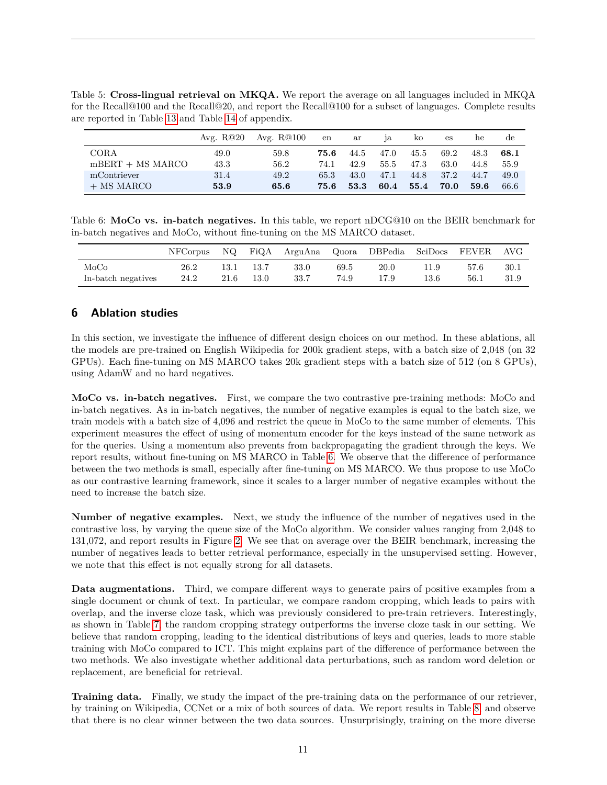<span id="page-10-1"></span>Table 5: **Cross-lingual retrieval on MKQA.** We report the average on all languages included in MKQA for the Recall@100 and the Recall@20, and report the Recall@100 for a subset of languages. Complete results are reported in Table [13](#page-19-1) and Table [14](#page-19-2) of appendix.

|                    | Avg. $R@20$ | Avg. R@100 | en   | ar   | <sub>1</sub> a | k0   | es   | he   | de   |
|--------------------|-------------|------------|------|------|----------------|------|------|------|------|
| <b>CORA</b>        | 49.0        | 59.8       | 75.6 | 44.5 | 47.0           | 45.5 | 69.2 | 48.3 | 68.1 |
| $mBERT + MS MARCO$ | 43.3        | 56.2       | 74.1 | 42.9 | 55.5           | 47.3 | 63.0 | 44.8 | 55.9 |
| mContriever        | 31.4        | 49.2       | 65.3 | 43.0 | 47.1           | 44.8 | 37.2 | 44.7 | 49.0 |
| $+$ MS MARCO       | 53.9        | 65.6       | 75.6 | 53.3 | 60.4           | 55.4 | 70.0 | 59.6 | 66.6 |

<span id="page-10-2"></span>Table 6: **MoCo vs. in-batch negatives.** In this table, we report nDCG@10 on the BEIR benchmark for in-batch negatives and MoCo, without fine-tuning on the MS MARCO dataset.

|                    | <b>NFC</b> orpus | NQ.  |      | FiQA ArguAna | Quora | DBPedia | SciDocs  | <b>FEVER</b> | AVG  |
|--------------------|------------------|------|------|--------------|-------|---------|----------|--------------|------|
| MoCo               | $26.2\,$         | 13.1 | 13.7 | 33.0         | 69.5  | 20.0    | 11.9     | 57.6         | 30.1 |
| In-batch negatives | 24.2             | 21.6 | 13.0 | 33.7         | 74.9  | .7.9    | $13.6\,$ | 56.1         | 31.9 |

# <span id="page-10-0"></span>**6 Ablation studies**

In this section, we investigate the influence of different design choices on our method. In these ablations, all the models are pre-trained on English Wikipedia for 200k gradient steps, with a batch size of 2,048 (on 32 GPUs). Each fine-tuning on MS MARCO takes 20k gradient steps with a batch size of 512 (on 8 GPUs), using AdamW and no hard negatives.

**MoCo vs. in-batch negatives.** First, we compare the two contrastive pre-training methods: MoCo and in-batch negatives. As in in-batch negatives, the number of negative examples is equal to the batch size, we train models with a batch size of 4,096 and restrict the queue in MoCo to the same number of elements. This experiment measures the effect of using of momentum encoder for the keys instead of the same network as for the queries. Using a momentum also prevents from backpropagating the gradient through the keys. We report results, without fine-tuning on MS MARCO in Table [6.](#page-10-2) We observe that the difference of performance between the two methods is small, especially after fine-tuning on MS MARCO. We thus propose to use MoCo as our contrastive learning framework, since it scales to a larger number of negative examples without the need to increase the batch size.

**Number of negative examples.** Next, we study the influence of the number of negatives used in the contrastive loss, by varying the queue size of the MoCo algorithm. We consider values ranging from 2,048 to 131,072, and report results in Figure [2.](#page-11-0) We see that on average over the BEIR benchmark, increasing the number of negatives leads to better retrieval performance, especially in the unsupervised setting. However, we note that this effect is not equally strong for all datasets.

**Data augmentations.** Third, we compare different ways to generate pairs of positive examples from a single document or chunk of text. In particular, we compare random cropping, which leads to pairs with overlap, and the inverse cloze task, which was previously considered to pre-train retrievers. Interestingly, as shown in Table [7,](#page-11-1) the random cropping strategy outperforms the inverse cloze task in our setting. We believe that random cropping, leading to the identical distributions of keys and queries, leads to more stable training with MoCo compared to ICT. This might explains part of the difference of performance between the two methods. We also investigate whether additional data perturbations, such as random word deletion or replacement, are beneficial for retrieval.

**Training data.** Finally, we study the impact of the pre-training data on the performance of our retriever, by training on Wikipedia, CCNet or a mix of both sources of data. We report results in Table [8,](#page-12-8) and observe that there is no clear winner between the two data sources. Unsurprisingly, training on the more diverse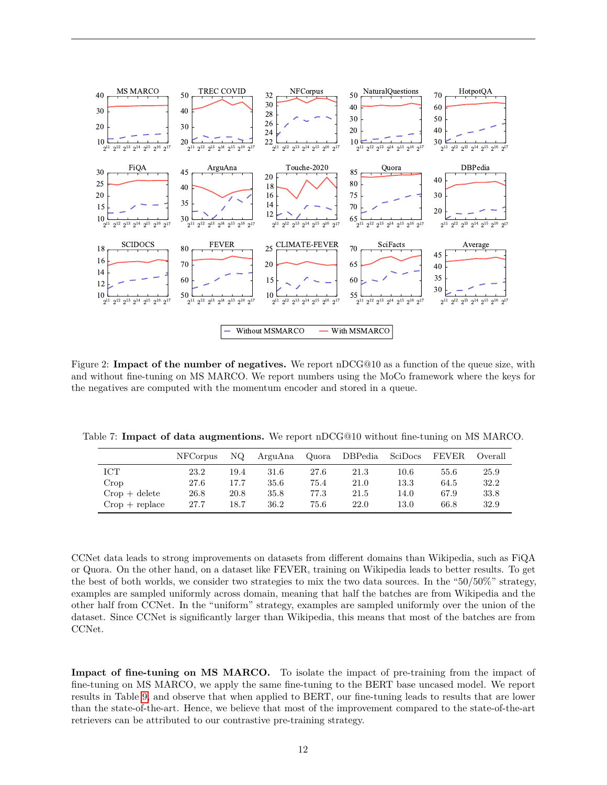

<span id="page-11-0"></span>Figure 2: **Impact of the number of negatives.** We report nDCG@10 as a function of the queue size, with and without fine-tuning on MS MARCO. We report numbers using the MoCo framework where the keys for the negatives are computed with the momentum encoder and stored in a queue.

|  | Table 7: Impact of data augmentions. We report nDCG@10 without fine-tuning on MS MARCO. |  |
|--|-----------------------------------------------------------------------------------------|--|
|  |                                                                                         |  |

<span id="page-11-1"></span>

|                  | NFCorpus | NQ.  | ArguAna | Quora | DBPedia | SciDocs  | <b>FEVER</b> | Overall |
|------------------|----------|------|---------|-------|---------|----------|--------------|---------|
| ICT              | 23.2     | 19.4 | 31.6    | 27.6  | 21.3    | $10.6\,$ | 55.6         | 25.9    |
| Crop             | 27.6     | 17.7 | 35.6    | 75.4  | 21.0    | 13.3     | 64.5         | 32.2    |
| $Crop + delete$  | 26.8     | 20.8 | 35.8    | 77.3  | 21.5    | 14.0     | 67.9         | 33.8    |
| $Crop + replace$ | 27.7     | 18.7 | 36.2    | 75.6  | 22.0    | 13.0     | 66.8         | 32.9    |

CCNet data leads to strong improvements on datasets from different domains than Wikipedia, such as FiQA or Quora. On the other hand, on a dataset like FEVER, training on Wikipedia leads to better results. To get the best of both worlds, we consider two strategies to mix the two data sources. In the "50/50%" strategy, examples are sampled uniformly across domain, meaning that half the batches are from Wikipedia and the other half from CCNet. In the "uniform" strategy, examples are sampled uniformly over the union of the dataset. Since CCNet is significantly larger than Wikipedia, this means that most of the batches are from CCNet.

**Impact of fine-tuning on MS MARCO.** To isolate the impact of pre-training from the impact of fine-tuning on MS MARCO, we apply the same fine-tuning to the BERT base uncased model. We report results in Table [9,](#page-12-9) and observe that when applied to BERT, our fine-tuning leads to results that are lower than the state-of-the-art. Hence, we believe that most of the improvement compared to the state-of-the-art retrievers can be attributed to our contrastive pre-training strategy.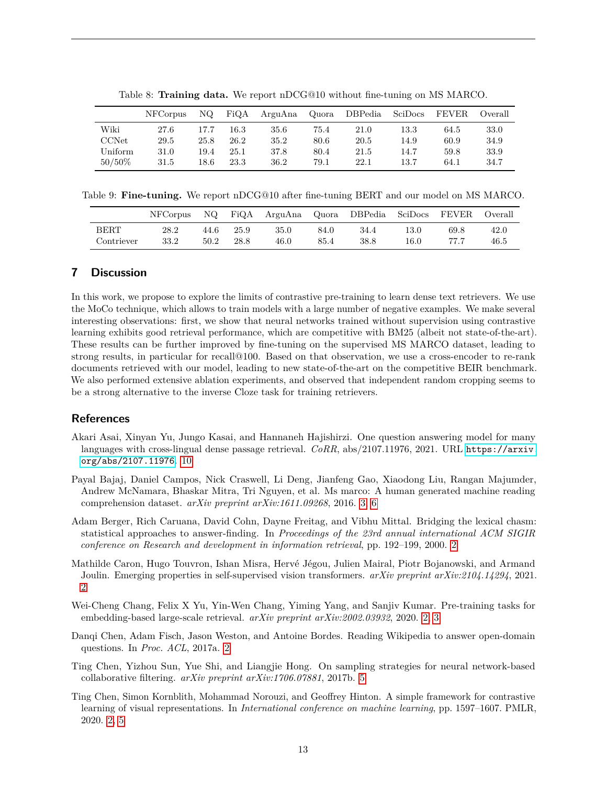|              | <b>NFC</b> orpus | NΟ   | FiQA     | ArguAna | Quora | DBPedia | SciDocs | <b>FEVER</b> | Overall |
|--------------|------------------|------|----------|---------|-------|---------|---------|--------------|---------|
| Wiki         | 27.6             | 17.7 | $16.3\,$ | 35.6    | 75.4  | 21.0    | 13.3    | 64.5         | 33.0    |
| <b>CCNet</b> | 29.5             | 25.8 | 26.2     | 35.2    | 80.6  | 20.5    | 14.9    | 60.9         | 34.9    |
| Uniform      | 31.0             | 19.4 | 25.1     | 37.8    | 80.4  | 21.5    | 14.7    | 59.8         | 33.9    |
| $50/50\%$    | 31.5             | 18.6 | 23.3     | 36.2    | 79.1  | 22.1    | 13.7    | 64.1         | 34.7    |

<span id="page-12-8"></span>Table 8: **Training data.** We report nDCG@10 without fine-tuning on MS MARCO.

Table 9: **Fine-tuning.** We report nDCG@10 after fine-tuning BERT and our model on MS MARCO.

<span id="page-12-9"></span>

|             | NFCorpus | NQ.  | FiQA | ArguAna Quora DBPedia SciDocs FEVER Overall |      |      |      |      |      |
|-------------|----------|------|------|---------------------------------------------|------|------|------|------|------|
| <b>BERT</b> | 28.2     | 44.6 | 25.9 | 35.0                                        | 84.0 | 34.4 | 13.0 | 69.8 | 42.0 |
| Contriever  | 33.2     | 50.2 | 28.8 | 46.0                                        | 85.4 | 38.8 | 16.0 | 77 7 | 46.5 |

## **7 Discussion**

In this work, we propose to explore the limits of contrastive pre-training to learn dense text retrievers. We use the MoCo technique, which allows to train models with a large number of negative examples. We make several interesting observations: first, we show that neural networks trained without supervision using contrastive learning exhibits good retrieval performance, which are competitive with BM25 (albeit not state-of-the-art). These results can be further improved by fine-tuning on the supervised MS MARCO dataset, leading to strong results, in particular for recall@100. Based on that observation, we use a cross-encoder to re-rank documents retrieved with our model, leading to new state-of-the-art on the competitive BEIR benchmark. We also performed extensive ablation experiments, and observed that independent random cropping seems to be a strong alternative to the inverse Cloze task for training retrievers.

## **References**

- <span id="page-12-7"></span>Akari Asai, Xinyan Yu, Jungo Kasai, and Hannaneh Hajishirzi. One question answering model for many languages with cross-lingual dense passage retrieval. *CoRR*, abs/2107.11976, 2021. URL [https://arxiv.](https://arxiv.org/abs/2107.11976) [org/abs/2107.11976](https://arxiv.org/abs/2107.11976). [10](#page-9-1)
- <span id="page-12-5"></span>Payal Bajaj, Daniel Campos, Nick Craswell, Li Deng, Jianfeng Gao, Xiaodong Liu, Rangan Majumder, Andrew McNamara, Bhaskar Mitra, Tri Nguyen, et al. Ms marco: A human generated machine reading comprehension dataset. *arXiv preprint arXiv:1611.09268*, 2016. [3,](#page-2-0) [6](#page-5-1)
- <span id="page-12-1"></span>Adam Berger, Rich Caruana, David Cohn, Dayne Freitag, and Vibhu Mittal. Bridging the lexical chasm: statistical approaches to answer-finding. In *Proceedings of the 23rd annual international ACM SIGIR conference on Research and development in information retrieval*, pp. 192–199, 2000. [2](#page-1-1)
- <span id="page-12-4"></span>Mathilde Caron, Hugo Touvron, Ishan Misra, Hervé Jégou, Julien Mairal, Piotr Bojanowski, and Armand Joulin. Emerging properties in self-supervised vision transformers. *arXiv preprint arXiv:2104.14294*, 2021. [2](#page-1-1)
- <span id="page-12-2"></span>Wei-Cheng Chang, Felix X Yu, Yin-Wen Chang, Yiming Yang, and Sanjiv Kumar. Pre-training tasks for embedding-based large-scale retrieval. *arXiv preprint arXiv:2002.03932*, 2020. [2,](#page-1-1) [3](#page-2-0)
- <span id="page-12-0"></span>Danqi Chen, Adam Fisch, Jason Weston, and Antoine Bordes. Reading Wikipedia to answer open-domain questions. In *Proc. ACL*, 2017a. [2](#page-1-1)
- <span id="page-12-6"></span>Ting Chen, Yizhou Sun, Yue Shi, and Liangjie Hong. On sampling strategies for neural network-based collaborative filtering. *arXiv preprint arXiv:1706.07881*, 2017b. [5](#page-4-0)
- <span id="page-12-3"></span>Ting Chen, Simon Kornblith, Mohammad Norouzi, and Geoffrey Hinton. A simple framework for contrastive learning of visual representations. In *International conference on machine learning*, pp. 1597–1607. PMLR, 2020. [2,](#page-1-1) [5](#page-4-0)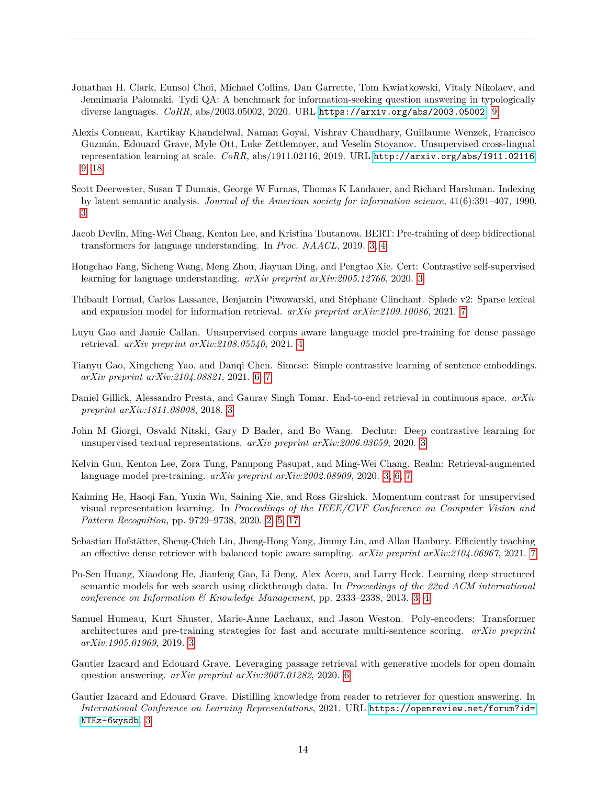- <span id="page-13-16"></span>Jonathan H. Clark, Eunsol Choi, Michael Collins, Dan Garrette, Tom Kwiatkowski, Vitaly Nikolaev, and Jennimaria Palomaki. Tydi QA: A benchmark for information-seeking question answering in typologically diverse languages. *CoRR*, abs/2003.05002, 2020. URL <https://arxiv.org/abs/2003.05002>. [9](#page-8-0)
- <span id="page-13-15"></span>Alexis Conneau, Kartikay Khandelwal, Naman Goyal, Vishrav Chaudhary, Guillaume Wenzek, Francisco Guzmán, Edouard Grave, Myle Ott, Luke Zettlemoyer, and Veselin Stoyanov. Unsupervised cross-lingual representation learning at scale. *CoRR*, abs/1911.02116, 2019. URL <http://arxiv.org/abs/1911.02116>. [9,](#page-8-0) [18](#page-17-2)
- <span id="page-13-1"></span>Scott Deerwester, Susan T Dumais, George W Furnas, Thomas K Landauer, and Richard Harshman. Indexing by latent semantic analysis. *Journal of the American society for information science*, 41(6):391–407, 1990. [3](#page-2-0)
- <span id="page-13-3"></span>Jacob Devlin, Ming-Wei Chang, Kenton Lee, and Kristina Toutanova. BERT: Pre-training of deep bidirectional transformers for language understanding. In *Proc. NAACL*, 2019. [3,](#page-2-0) [4](#page-3-0)
- <span id="page-13-8"></span>Hongchao Fang, Sicheng Wang, Meng Zhou, Jiayuan Ding, and Pengtao Xie. Cert: Contrastive self-supervised learning for language understanding. *arXiv preprint arXiv:2005.12766*, 2020. [3](#page-2-0)
- <span id="page-13-13"></span>Thibault Formal, Carlos Lassance, Benjamin Piwowarski, and Stéphane Clinchant. Splade v2: Sparse lexical and expansion model for information retrieval. *arXiv preprint arXiv:2109.10086*, 2021. [7](#page-6-2)
- <span id="page-13-10"></span>Luyu Gao and Jamie Callan. Unsupervised corpus aware language model pre-training for dense passage retrieval. *arXiv preprint arXiv:2108.05540*, 2021. [4](#page-3-0)
- <span id="page-13-11"></span>Tianyu Gao, Xingcheng Yao, and Danqi Chen. Simcse: Simple contrastive learning of sentence embeddings. *arXiv preprint arXiv:2104.08821*, 2021. [6,](#page-5-1) [7](#page-6-2)
- <span id="page-13-4"></span>Daniel Gillick, Alessandro Presta, and Gaurav Singh Tomar. End-to-end retrieval in continuous space. *arXiv preprint arXiv:1811.08008*, 2018. [3](#page-2-0)
- <span id="page-13-9"></span>John M Giorgi, Osvald Nitski, Gary D Bader, and Bo Wang. Declutr: Deep contrastive learning for unsupervised textual representations. *arXiv preprint arXiv:2006.03659*, 2020. [3](#page-2-0)
- <span id="page-13-7"></span>Kelvin Guu, Kenton Lee, Zora Tung, Panupong Pasupat, and Ming-Wei Chang. Realm: Retrieval-augmented language model pre-training. *arXiv preprint arXiv:2002.08909*, 2020. [3,](#page-2-0) [6,](#page-5-1) [7](#page-6-2)
- <span id="page-13-0"></span>Kaiming He, Haoqi Fan, Yuxin Wu, Saining Xie, and Ross Girshick. Momentum contrast for unsupervised visual representation learning. In *Proceedings of the IEEE/CVF Conference on Computer Vision and Pattern Recognition*, pp. 9729–9738, 2020. [2,](#page-1-1) [5,](#page-4-0) [17](#page-16-6)
- <span id="page-13-14"></span>Sebastian Hofstätter, Sheng-Chieh Lin, Jheng-Hong Yang, Jimmy Lin, and Allan Hanbury. Efficiently teaching an effective dense retriever with balanced topic aware sampling. *arXiv preprint arXiv:2104.06967*, 2021. [7](#page-6-2)
- <span id="page-13-2"></span>Po-Sen Huang, Xiaodong He, Jianfeng Gao, Li Deng, Alex Acero, and Larry Heck. Learning deep structured semantic models for web search using clickthrough data. In *Proceedings of the 22nd ACM international conference on Information & Knowledge Management*, pp. 2333–2338, 2013. [3,](#page-2-0) [4](#page-3-0)
- <span id="page-13-5"></span>Samuel Humeau, Kurt Shuster, Marie-Anne Lachaux, and Jason Weston. Poly-encoders: Transformer architectures and pre-training strategies for fast and accurate multi-sentence scoring. *arXiv preprint arXiv:1905.01969*, 2019. [3](#page-2-0)
- <span id="page-13-12"></span>Gautier Izacard and Edouard Grave. Leveraging passage retrieval with generative models for open domain question answering. *arXiv preprint arXiv:2007.01282*, 2020. [6](#page-5-1)
- <span id="page-13-6"></span>Gautier Izacard and Edouard Grave. Distilling knowledge from reader to retriever for question answering. In *International Conference on Learning Representations*, 2021. URL [https://openreview.net/forum?id=](https://openreview.net/forum?id=NTEz-6wysdb) [NTEz-6wysdb](https://openreview.net/forum?id=NTEz-6wysdb). [3](#page-2-0)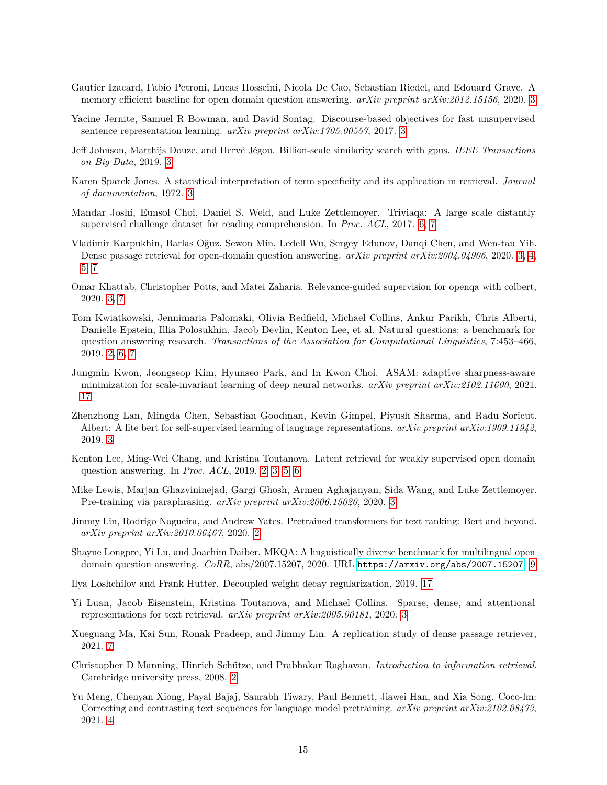- <span id="page-14-9"></span>Gautier Izacard, Fabio Petroni, Lucas Hosseini, Nicola De Cao, Sebastian Riedel, and Edouard Grave. A memory efficient baseline for open domain question answering. *arXiv preprint arXiv:2012.15156*, 2020. [3](#page-2-0)
- <span id="page-14-10"></span>Yacine Jernite, Samuel R Bowman, and David Sontag. Discourse-based objectives for fast unsupervised sentence representation learning. *arXiv preprint arXiv:1705.00557*, 2017. [3](#page-2-0)
- <span id="page-14-6"></span>Jeff Johnson, Matthijs Douze, and Hervé Jégou. Billion-scale similarity search with gpus. *IEEE Transactions on Big Data*, 2019. [3](#page-2-0)
- <span id="page-14-4"></span>Karen Sparck Jones. A statistical interpretation of term specificity and its application in retrieval. *Journal of documentation*, 1972. [3](#page-2-0)
- <span id="page-14-14"></span>Mandar Joshi, Eunsol Choi, Daniel S. Weld, and Luke Zettlemoyer. Triviaqa: A large scale distantly supervised challenge dataset for reading comprehension. In *Proc. ACL*, 2017. [6,](#page-5-1) [7](#page-6-2)
- <span id="page-14-5"></span>Vladimir Karpukhin, Barlas Oğuz, Sewon Min, Ledell Wu, Sergey Edunov, Danqi Chen, and Wen-tau Yih. Dense passage retrieval for open-domain question answering. *arXiv preprint arXiv:2004.04906*, 2020. [3,](#page-2-0) [4,](#page-3-0) [5,](#page-4-0) [7](#page-6-2)
- <span id="page-14-7"></span>Omar Khattab, Christopher Potts, and Matei Zaharia. Relevance-guided supervision for openqa with colbert, 2020. [3,](#page-2-0) [7](#page-6-2)
- <span id="page-14-0"></span>Tom Kwiatkowski, Jennimaria Palomaki, Olivia Redfield, Michael Collins, Ankur Parikh, Chris Alberti, Danielle Epstein, Illia Polosukhin, Jacob Devlin, Kenton Lee, et al. Natural questions: a benchmark for question answering research. *Transactions of the Association for Computational Linguistics*, 7:453–466, 2019. [2,](#page-1-1) [6,](#page-5-1) [7](#page-6-2)
- <span id="page-14-18"></span>Jungmin Kwon, Jeongseop Kim, Hyunseo Park, and In Kwon Choi. ASAM: adaptive sharpness-aware minimization for scale-invariant learning of deep neural networks. *arXiv preprint arXiv:2102.11600*, 2021. [17](#page-16-6)
- <span id="page-14-11"></span>Zhenzhong Lan, Mingda Chen, Sebastian Goodman, Kevin Gimpel, Piyush Sharma, and Radu Soricut. Albert: A lite bert for self-supervised learning of language representations. *arXiv preprint arXiv:1909.11942*, 2019. [3](#page-2-0)
- <span id="page-14-1"></span>Kenton Lee, Ming-Wei Chang, and Kristina Toutanova. Latent retrieval for weakly supervised open domain question answering. In *Proc. ACL*, 2019. [2,](#page-1-1) [3,](#page-2-0) [5,](#page-4-0) [6](#page-5-1)
- <span id="page-14-12"></span>Mike Lewis, Marjan Ghazvininejad, Gargi Ghosh, Armen Aghajanyan, Sida Wang, and Luke Zettlemoyer. Pre-training via paraphrasing. *arXiv preprint arXiv:2006.15020*, 2020. [3](#page-2-0)
- <span id="page-14-3"></span>Jimmy Lin, Rodrigo Nogueira, and Andrew Yates. Pretrained transformers for text ranking: Bert and beyond. *arXiv preprint arXiv:2010.06467*, 2020. [2](#page-1-1)
- <span id="page-14-16"></span>Shayne Longpre, Yi Lu, and Joachim Daiber. MKQA: A linguistically diverse benchmark for multilingual open domain question answering. *CoRR*, abs/2007.15207, 2020. URL <https://arxiv.org/abs/2007.15207>. [9](#page-8-0)
- <span id="page-14-17"></span>Ilya Loshchilov and Frank Hutter. Decoupled weight decay regularization, 2019. [17](#page-16-6)
- <span id="page-14-8"></span>Yi Luan, Jacob Eisenstein, Kristina Toutanova, and Michael Collins. Sparse, dense, and attentional representations for text retrieval. *arXiv preprint arXiv:2005.00181*, 2020. [3](#page-2-0)
- <span id="page-14-15"></span>Xueguang Ma, Kai Sun, Ronak Pradeep, and Jimmy Lin. A replication study of dense passage retriever, 2021. [7](#page-6-2)
- <span id="page-14-2"></span>Christopher D Manning, Hinrich Schütze, and Prabhakar Raghavan. *Introduction to information retrieval*. Cambridge university press, 2008. [2](#page-1-1)
- <span id="page-14-13"></span>Yu Meng, Chenyan Xiong, Payal Bajaj, Saurabh Tiwary, Paul Bennett, Jiawei Han, and Xia Song. Coco-lm: Correcting and contrasting text sequences for language model pretraining. *arXiv preprint arXiv:2102.08473*, 2021. [4](#page-3-0)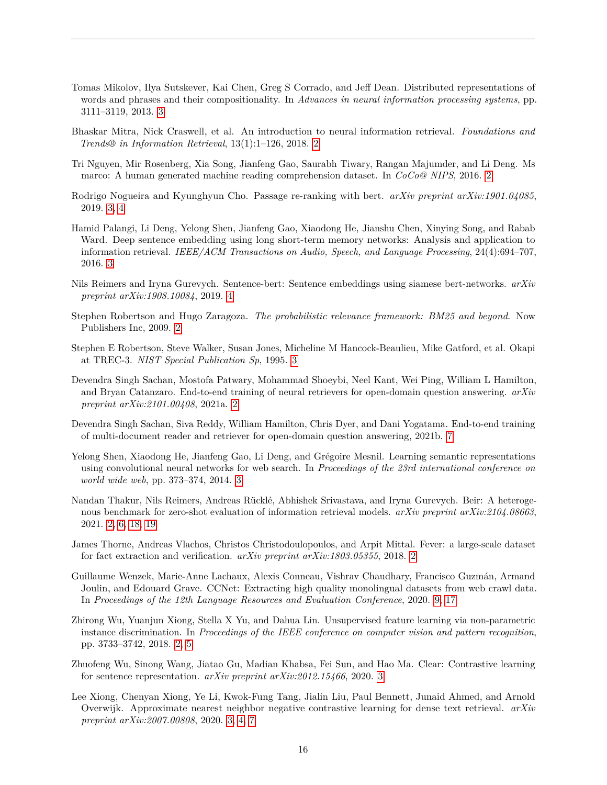- <span id="page-15-12"></span>Tomas Mikolov, Ilya Sutskever, Kai Chen, Greg S Corrado, and Jeff Dean. Distributed representations of words and phrases and their compositionality. In *Advances in neural information processing systems*, pp. 3111–3119, 2013. [3](#page-2-0)
- <span id="page-15-6"></span>Bhaskar Mitra, Nick Craswell, et al. An introduction to neural information retrieval. *Foundations and Trends® in Information Retrieval*, 13(1):1–126, 2018. [2](#page-1-1)
- <span id="page-15-2"></span>Tri Nguyen, Mir Rosenberg, Xia Song, Jianfeng Gao, Saurabh Tiwary, Rangan Majumder, and Li Deng. Ms marco: A human generated machine reading comprehension dataset. In *CoCo@ NIPS*, 2016. [2](#page-1-1)
- <span id="page-15-10"></span>Rodrigo Nogueira and Kyunghyun Cho. Passage re-ranking with bert. *arXiv preprint arXiv:1901.04085*, 2019. [3,](#page-2-0) [4](#page-3-0)
- <span id="page-15-9"></span>Hamid Palangi, Li Deng, Yelong Shen, Jianfeng Gao, Xiaodong He, Jianshu Chen, Xinying Song, and Rabab Ward. Deep sentence embedding using long short-term memory networks: Analysis and application to information retrieval. *IEEE/ACM Transactions on Audio, Speech, and Language Processing*, 24(4):694–707, 2016. [3](#page-2-0)
- <span id="page-15-14"></span>Nils Reimers and Iryna Gurevych. Sentence-bert: Sentence embeddings using siamese bert-networks. *arXiv preprint arXiv:1908.10084*, 2019. [4](#page-3-0)
- <span id="page-15-1"></span>Stephen Robertson and Hugo Zaragoza. *The probabilistic relevance framework: BM25 and beyond*. Now Publishers Inc, 2009. [2](#page-1-1)
- <span id="page-15-7"></span>Stephen E Robertson, Steve Walker, Susan Jones, Micheline M Hancock-Beaulieu, Mike Gatford, et al. Okapi at TREC-3. *NIST Special Publication Sp*, 1995. [3](#page-2-0)
- <span id="page-15-4"></span>Devendra Singh Sachan, Mostofa Patwary, Mohammad Shoeybi, Neel Kant, Wei Ping, William L Hamilton, and Bryan Catanzaro. End-to-end training of neural retrievers for open-domain question answering. *arXiv preprint arXiv:2101.00408*, 2021a. [2](#page-1-1)
- <span id="page-15-15"></span>Devendra Singh Sachan, Siva Reddy, William Hamilton, Chris Dyer, and Dani Yogatama. End-to-end training of multi-document reader and retriever for open-domain question answering, 2021b. [7](#page-6-2)
- <span id="page-15-8"></span>Yelong Shen, Xiaodong He, Jianfeng Gao, Li Deng, and Grégoire Mesnil. Learning semantic representations using convolutional neural networks for web search. In *Proceedings of the 23rd international conference on world wide web*, pp. 373–374, 2014. [3](#page-2-0)
- <span id="page-15-3"></span>Nandan Thakur, Nils Reimers, Andreas Rücklé, Abhishek Srivastava, and Iryna Gurevych. Beir: A heterogenous benchmark for zero-shot evaluation of information retrieval models. *arXiv preprint arXiv:2104.08663*, 2021. [2,](#page-1-1) [6,](#page-5-1) [18,](#page-17-2) [19](#page-18-1)
- <span id="page-15-0"></span>James Thorne, Andreas Vlachos, Christos Christodoulopoulos, and Arpit Mittal. Fever: a large-scale dataset for fact extraction and verification. *arXiv preprint arXiv:1803.05355*, 2018. [2](#page-1-1)
- <span id="page-15-16"></span>Guillaume Wenzek, Marie-Anne Lachaux, Alexis Conneau, Vishrav Chaudhary, Francisco Guzmán, Armand Joulin, and Edouard Grave. CCNet: Extracting high quality monolingual datasets from web crawl data. In *Proceedings of the 12th Language Resources and Evaluation Conference*, 2020. [9,](#page-8-0) [17](#page-16-6)
- <span id="page-15-5"></span>Zhirong Wu, Yuanjun Xiong, Stella X Yu, and Dahua Lin. Unsupervised feature learning via non-parametric instance discrimination. In *Proceedings of the IEEE conference on computer vision and pattern recognition*, pp. 3733–3742, 2018. [2,](#page-1-1) [5](#page-4-0)
- <span id="page-15-13"></span>Zhuofeng Wu, Sinong Wang, Jiatao Gu, Madian Khabsa, Fei Sun, and Hao Ma. Clear: Contrastive learning for sentence representation. *arXiv preprint arXiv:2012.15466*, 2020. [3](#page-2-0)
- <span id="page-15-11"></span>Lee Xiong, Chenyan Xiong, Ye Li, Kwok-Fung Tang, Jialin Liu, Paul Bennett, Junaid Ahmed, and Arnold Overwijk. Approximate nearest neighbor negative contrastive learning for dense text retrieval. *arXiv preprint arXiv:2007.00808*, 2020. [3,](#page-2-0) [4,](#page-3-0) [7](#page-6-2)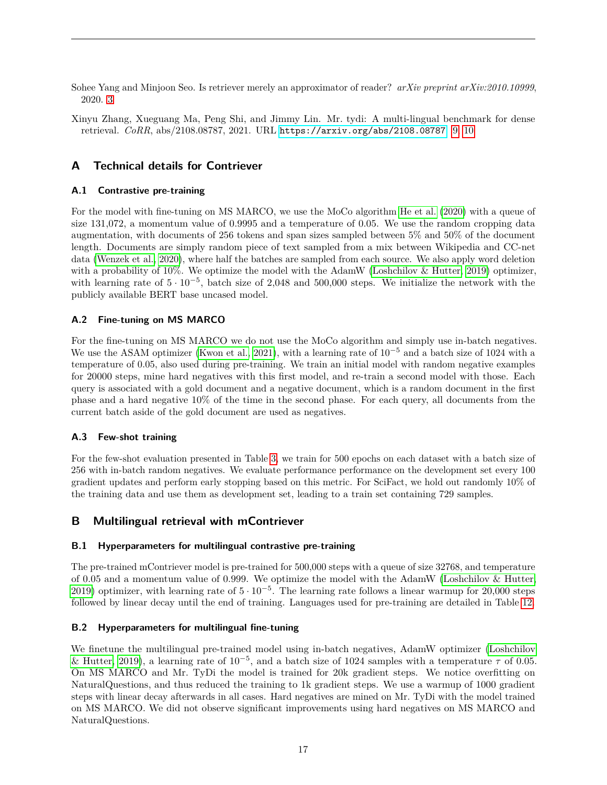<span id="page-16-6"></span><span id="page-16-0"></span>Sohee Yang and Minjoon Seo. Is retriever merely an approximator of reader? *arXiv preprint arXiv:2010.10999*, 2020. [3](#page-2-0)

<span id="page-16-5"></span>Xinyu Zhang, Xueguang Ma, Peng Shi, and Jimmy Lin. Mr. tydi: A multi-lingual benchmark for dense retrieval. *CoRR*, abs/2108.08787, 2021. URL <https://arxiv.org/abs/2108.08787>. [9,](#page-8-0) [10](#page-9-1)

# **A Technical details for Contriever**

## <span id="page-16-1"></span>**A.1 Contrastive pre-training**

For the model with fine-tuning on MS MARCO, we use the MoCo algorithm [He et al.](#page-13-0) [\(2020\)](#page-13-0) with a queue of size 131,072, a momentum value of 0.9995 and a temperature of 0.05. We use the random cropping data augmentation, with documents of 256 tokens and span sizes sampled between 5% and 50% of the document length. Documents are simply random piece of text sampled from a mix between Wikipedia and CC-net data [\(Wenzek et al., 2020\)](#page-15-16), where half the batches are sampled from each source. We also apply word deletion with a probability of 10%. We optimize the model with the AdamW [\(Loshchilov & Hutter, 2019\)](#page-14-17) optimizer, with learning rate of  $5 \cdot 10^{-5}$ , batch size of 2,048 and 500,000 steps. We initialize the network with the publicly available BERT base uncased model.

## **A.2 Fine-tuning on MS MARCO**

For the fine-tuning on MS MARCO we do not use the MoCo algorithm and simply use in-batch negatives. We use the ASAM optimizer [\(Kwon et al., 2021\)](#page-14-18), with a learning rate of  $10^{-5}$  and a batch size of 1024 with a temperature of 0*.*05, also used during pre-training. We train an initial model with random negative examples for 20000 steps, mine hard negatives with this first model, and re-train a second model with those. Each query is associated with a gold document and a negative document, which is a random document in the first phase and a hard negative 10% of the time in the second phase. For each query, all documents from the current batch aside of the gold document are used as negatives.

## <span id="page-16-2"></span>**A.3 Few-shot training**

For the few-shot evaluation presented in Table [3,](#page-7-2) we train for 500 epochs on each dataset with a batch size of 256 with in-batch random negatives. We evaluate performance performance on the development set every 100 gradient updates and perform early stopping based on this metric. For SciFact, we hold out randomly 10% of the training data and use them as development set, leading to a train set containing 729 samples.

## **B Multilingual retrieval with mContriever**

## <span id="page-16-3"></span>**B.1 Hyperparameters for multilingual contrastive pre-training**

The pre-trained mContriever model is pre-trained for 500,000 steps with a queue of size 32768, and temperature of 0.05 and a momentum value of 0.999. We optimize the model with the AdamW [\(Loshchilov & Hutter,](#page-14-17) [2019\)](#page-14-17) optimizer, with learning rate of  $5 \cdot 10^{-5}$ . The learning rate follows a linear warmup for 20,000 steps followed by linear decay until the end of training. Languages used for pre-training are detailed in Table [12.](#page-19-0)

## <span id="page-16-4"></span>**B.2 Hyperparameters for multilingual fine-tuning**

We finetune the multilingual pre-trained model using in-batch negatives, AdamW optimizer [\(Loshchilov](#page-14-17) [& Hutter, 2019\)](#page-14-17), a learning rate of  $10^{-5}$ , and a batch size of 1024 samples with a temperature  $\tau$  of 0.05. On MS MARCO and Mr. TyDi the model is trained for 20k gradient steps. We notice overfitting on NaturalQuestions, and thus reduced the training to 1k gradient steps. We use a warmup of 1000 gradient steps with linear decay afterwards in all cases. Hard negatives are mined on Mr. TyDi with the model trained on MS MARCO. We did not observe significant improvements using hard negatives on MS MARCO and NaturalQuestions.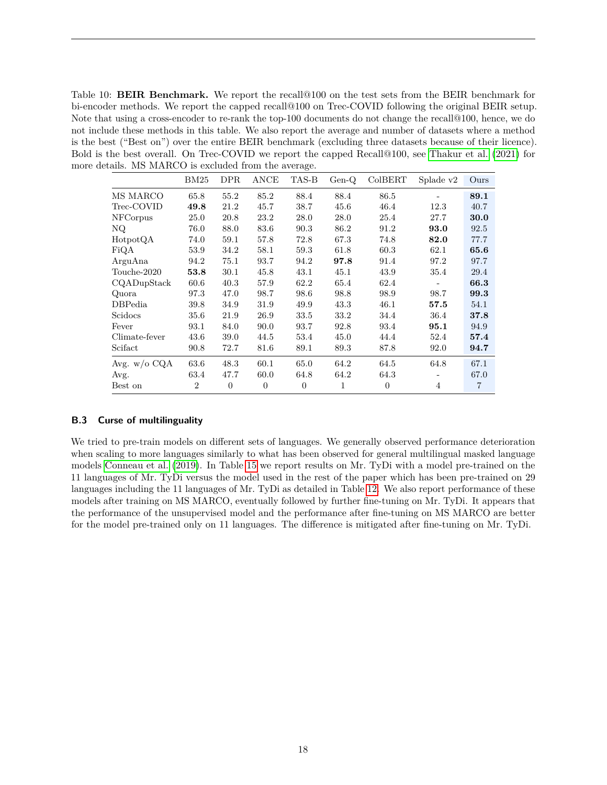<span id="page-17-2"></span><span id="page-17-0"></span>Table 10: **BEIR Benchmark.** We report the recall@100 on the test sets from the BEIR benchmark for bi-encoder methods. We report the capped recall@100 on Trec-COVID following the original BEIR setup. Note that using a cross-encoder to re-rank the top-100 documents do not change the recall@100, hence, we do not include these methods in this table. We also report the average and number of datasets where a method is the best ("Best on") over the entire BEIR benchmark (excluding three datasets because of their licence). Bold is the best overall. On Trec-COVID we report the capped Recall@100, see [Thakur et al.](#page-15-3) [\(2021\)](#page-15-3) for more details. MS MARCO is excluded from the average.

|                  | BM25           | <b>DPR</b>     | ANCE           | TAS-B          | $Gen-Q$ | ColBERT        | Splade v2                | Ours |
|------------------|----------------|----------------|----------------|----------------|---------|----------------|--------------------------|------|
| MS MARCO         | 65.8           | 55.2           | 85.2           | 88.4           | 88.4    | 86.5           |                          | 89.1 |
| Trec-COVID       | 49.8           | 21.2           | 45.7           | 38.7           | 45.6    | 46.4           | 12.3                     | 40.7 |
| <b>NFC</b> orpus | 25.0           | 20.8           | 23.2           | 28.0           | 28.0    | 25.4           | 27.7                     | 30.0 |
| ΝQ               | 76.0           | 88.0           | 83.6           | 90.3           | 86.2    | 91.2           | 93.0                     | 92.5 |
| HotpotQA         | 74.0           | 59.1           | 57.8           | 72.8           | 67.3    | 74.8           | 82.0                     | 77.7 |
| FiQA             | 53.9           | 34.2           | 58.1           | 59.3           | 61.8    | 60.3           | 62.1                     | 65.6 |
| ArguAna          | 94.2           | 75.1           | 93.7           | 94.2           | 97.8    | 91.4           | 97.2                     | 97.7 |
| Touche-2020      | 53.8           | 30.1           | 45.8           | 43.1           | 45.1    | 43.9           | 35.4                     | 29.4 |
| CQADupStack      | 60.6           | 40.3           | 57.9           | 62.2           | 65.4    | 62.4           | $\overline{\phantom{a}}$ | 66.3 |
| Quora            | 97.3           | 47.0           | 98.7           | 98.6           | 98.8    | 98.9           | 98.7                     | 99.3 |
| <b>DBPedia</b>   | 39.8           | 34.9           | 31.9           | 49.9           | 43.3    | 46.1           | 57.5                     | 54.1 |
| Scidocs          | 35.6           | 21.9           | 26.9           | 33.5           | 33.2    | 34.4           | 36.4                     | 37.8 |
| Fever            | 93.1           | 84.0           | 90.0           | 93.7           | 92.8    | 93.4           | 95.1                     | 94.9 |
| Climate-fever    | 43.6           | 39.0           | 44.5           | 53.4           | 45.0    | 44.4           | 52.4                     | 57.4 |
| Scifact          | 90.8           | 72.7           | 81.6           | 89.1           | 89.3    | 87.8           | 92.0                     | 94.7 |
| Avg. $w/o$ CQA   | 63.6           | 48.3           | 60.1           | 65.0           | 64.2    | 64.5           | 64.8                     | 67.1 |
| Avg.             | 63.4           | 47.7           | 60.0           | 64.8           | 64.2    | 64.3           | -                        | 67.0 |
| Best on          | $\overline{2}$ | $\overline{0}$ | $\overline{0}$ | $\overline{0}$ | 1       | $\overline{0}$ | 4                        | 7    |

#### <span id="page-17-1"></span>**B.3 Curse of multilinguality**

We tried to pre-train models on different sets of languages. We generally observed performance deterioration when scaling to more languages similarly to what has been observed for general multilingual masked language models [Conneau et al.](#page-13-15) [\(2019\)](#page-13-15). In Table [15](#page-20-0) we report results on Mr. TyDi with a model pre-trained on the 11 languages of Mr. TyDi versus the model used in the rest of the paper which has been pre-trained on 29 languages including the 11 languages of Mr. TyDi as detailed in Table [12.](#page-19-0) We also report performance of these models after training on MS MARCO, eventually followed by further fine-tuning on Mr. TyDi. It appears that the performance of the unsupervised model and the performance after fine-tuning on MS MARCO are better for the model pre-trained only on 11 languages. The difference is mitigated after fine-tuning on Mr. TyDi.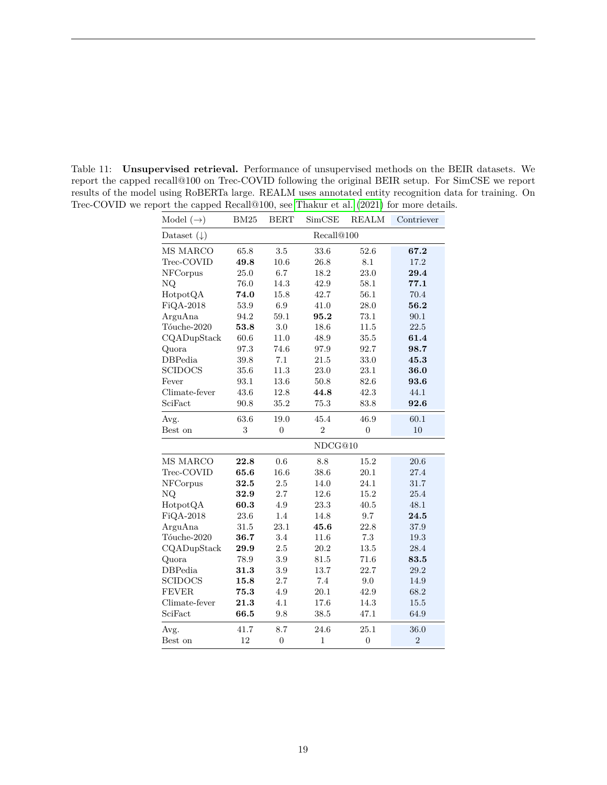<span id="page-18-1"></span><span id="page-18-0"></span>Table 11: **Unsupervised retrieval.** Performance of unsupervised methods on the BEIR datasets. We report the capped recall@100 on Trec-COVID following the original BEIR setup. For SimCSE we report results of the model using RoBERTa large. REALM uses annotated entity recognition data for training. On Trec-COVID we report the capped Recall@100, see [Thakur et al.](#page-15-3) [\(2021\)](#page-15-3) for more details.

| Model $(\rightarrow)$  | BM25     | <b>BERT</b>      | SimCSE         | <b>REALM</b>     | Contriever     |
|------------------------|----------|------------------|----------------|------------------|----------------|
| Dataset $(\downarrow)$ |          |                  | Recall@100     |                  |                |
| MS MARCO               | 65.8     | 3.5              | 33.6           | 52.6             | 67.2           |
| Trec-COVID             | 49.8     | 10.6             | 26.8           | 8.1              | 17.2           |
| NFCorpus               | 25.0     | 6.7              | 18.2           | 23.0             | 29.4           |
| NQ                     | 76.0     | 14.3             | 42.9           | 58.1             | 77.1           |
| HotpotQA               | 74.0     | 15.8             | 42.7           | 56.1             | 70.4           |
| FiQA-2018              | 53.9     | 6.9              | 41.0           | 28.0             | 56.2           |
| ArguAna                | 94.2     | 59.1             | 95.2           | $73.1\,$         | $90.1\,$       |
| Tóuche-2020            | 53.8     | $3.0\,$          | $18.6\,$       | $11.5\,$         | $22.5\,$       |
| CQADupStack            | 60.6     | 11.0             | 48.9           | 35.5             | 61.4           |
| Quora                  | 97.3     | 74.6             | 97.9           | 92.7             | 98.7           |
| <b>DBPedia</b>         | 39.8     | 7.1              | 21.5           | 33.0             | 45.3           |
| SCIDOCS                | 35.6     | 11.3             | 23.0           | 23.1             | 36.0           |
| Fever                  | 93.1     | 13.6             | 50.8           | 82.6             | 93.6           |
| Climate-fever          | 43.6     | 12.8             | 44.8           | 42.3             | 44.1           |
| SciFact                | 90.8     | 35.2             | 75.3           | 83.8             | 92.6           |
| Avg.                   | 63.6     | 19.0             | 45.4           | 46.9             | 60.1           |
| Best on                | 3        | $\overline{0}$   | $\overline{2}$ | $\overline{0}$   | 10             |
|                        |          |                  | NDCG@10        |                  |                |
| MS MARCO               | 22.8     | 0.6              | 8.8            | 15.2             | $20.6\,$       |
| Trec-COVID             | 65.6     | 16.6             | 38.6           | 20.1             | 27.4           |
| NFCorpus               | 32.5     | $2.5\,$          | 14.0           | 24.1             | $31.7\,$       |
| NQ                     | 32.9     | 2.7              | 12.6           | 15.2             | $25.4\,$       |
| HotpotQA               | 60.3     | $4.9\,$          | 23.3           | 40.5             | 48.1           |
| FiQA-2018              | $23.6\,$ | 1.4              | 14.8           | 9.7              | 24.5           |
| ArguAna                | $31.5\,$ | 23.1             | 45.6           | 22.8             | 37.9           |
| Tóuche-2020            | 36.7     | 3.4              | 11.6           | 7.3              | 19.3           |
| CQADupStack            | 29.9     | 2.5              | 20.2           | 13.5             | $28.4\,$       |
| Quora                  | $78.9\,$ | $\!.9$           | 81.5           | 71.6             | 83.5           |
| DBPedia                | 31.3     | 3.9              | 13.7           | $22.7\,$         | 29.2           |
| SCIDOCS                | 15.8     | 2.7              | 7.4            | $9.0\,$          | 14.9           |
| <b>FEVER</b>           | 75.3     | 4.9              | $20.1\,$       | 42.9             | 68.2           |
| Climate-fever          | 21.3     | 4.1              | 17.6           | 14.3             | 15.5           |
| SciFact                | 66.5     | 9.8              | 38.5           | 47.1             | 64.9           |
| Avg.                   | 41.7     | 8.7              | 24.6           | 25.1             | 36.0           |
| Best on                | 12       | $\boldsymbol{0}$ | $\mathbf 1$    | $\boldsymbol{0}$ | $\overline{2}$ |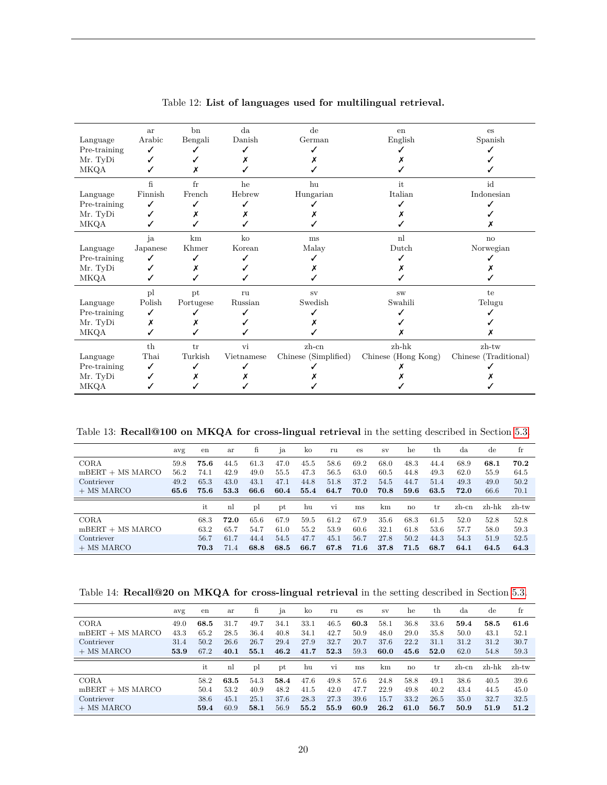|              | ar       | bn          | da         | de                   | en                  | es                    |
|--------------|----------|-------------|------------|----------------------|---------------------|-----------------------|
| Language     | Arabic   | Bengali     | Danish     | German               | English             | Spanish               |
| Pre-training | ℐ        |             |            |                      |                     |                       |
| Mr. TyDi     |          |             |            |                      |                     |                       |
| MKQA         |          |             |            |                      |                     |                       |
|              | fi       | $_{\rm fr}$ | he         | hu                   | it                  | id                    |
| Language     | Finnish  | French      | Hebrew     | Hungarian            | Italian             | Indonesian            |
| Pre-training | ✓        |             |            |                      |                     |                       |
| Mr. TyDi     |          |             |            |                      |                     |                       |
| MKQA         |          |             |            |                      |                     |                       |
|              | ja       | km          | ko         | ms                   | nl                  | no                    |
| Language     | Japanese | Khmer       | Korean     | Malay                | Dutch               | Norwegian             |
| Pre-training | ✓        |             |            |                      |                     |                       |
| Mr. TyDi     |          |             |            |                      |                     |                       |
| MKQA         |          |             |            |                      |                     |                       |
|              | pl       | pt          | ru         | <b>SV</b>            | <b>SW</b>           | te                    |
| Language     | Polish   | Portugese   | Russian    | Swedish              | Swahili             | Telugu                |
| Pre-training | ✓        |             |            |                      |                     |                       |
| Mr. TyDi     | х        |             |            |                      |                     |                       |
| MKQA         |          |             |            |                      |                     |                       |
|              | th       | tr          | vi         | $zh$ -cn             | zh-hk               | zh-tw                 |
| Language     | Thai     | Turkish     | Vietnamese | Chinese (Simplified) | Chinese (Hong Kong) | Chinese (Traditional) |
| Pre-training | ✓        |             |            |                      |                     |                       |
| Mr. TyDi     |          |             |            |                      |                     |                       |
| MKQA         |          |             |            |                      |                     |                       |

## <span id="page-19-0"></span>Table 12: **List of languages used for multilingual retrieval.**

<span id="page-19-1"></span>Table 13: **Recall@100 on MKQA for cross-lingual retrieval** in the setting described in Section [5.3.](#page-8-1)

|                    | avg  | en   | ar   | fi   | ja   | ko   | ru   | <b>es</b> | <b>SV</b> | he           | th   | da.   | de    | fr    |
|--------------------|------|------|------|------|------|------|------|-----------|-----------|--------------|------|-------|-------|-------|
| CORA               | 59.8 | 75.6 | 44.5 | 61.3 | 47.0 | 45.5 | 58.6 | 69.2      | 68.0      | 48.3         | 44.4 | 68.9  | 68.1  | 70.2  |
| $mBERT + MS MARCO$ | 56.2 | 74.1 | 42.9 | 49.0 | 55.5 | 47.3 | 56.5 | 63.0      | 60.5      | 44.8         | 49.3 | 62.0  | 55.9  | 64.5  |
| Contriever         | 49.2 | 65.3 | 43.0 | 43.1 | 47.1 | 44.8 | 51.8 | 37.2      | 54.5      | 44.7         | 51.4 | 49.3  | 49.0  | 50.2  |
| $+$ MS MARCO       | 65.6 | 75.6 | 53.3 | 66.6 | 60.4 | 55.4 | 64.7 | 70.0      | 70.8      | 59.6         | 63.5 | 72.0  | 66.6  | 70.1  |
|                    |      | it   |      |      |      |      |      |           |           |              |      |       |       |       |
|                    |      |      | nl   | pl   | pt   | hu   | vi   | ms        | km        | $\mathbf{n}$ | tr   | zh-cn | zh-hk | zh-tw |
| CORA               |      | 68.3 | 72.0 | 65.6 | 67.9 | 59.5 | 61.2 | 67.9      | 35.6      | 68.3         | 61.5 | 52.0  | 52.8  | 52.8  |
| $mBERT + MS MARCO$ |      | 63.2 | 65.7 | 54.7 | 61.0 | 55.2 | 53.9 | 60.6      | 32.1      | 61.8         | 53.6 | 57.7  | 58.0  | 59.3  |
| Contriever         |      | 56.7 | 61.7 | 44.4 | 54.5 | 47.7 | 45.1 | 56.7      | 27.8      | 50.2         | 44.3 | 54.3  | 51.9  | 52.5  |

<span id="page-19-2"></span>Table 14: **Recall@20 on MKQA for cross-lingual retrieval** in the setting described in Section [5.3.](#page-8-1)

|                    | avg  | en   | ar   | fi   | ja   | ko   | ru   | es       | <b>SV</b> | he           | th   | da.   | de    | $_{\rm fr}$ |
|--------------------|------|------|------|------|------|------|------|----------|-----------|--------------|------|-------|-------|-------------|
| CORA               | 49.0 | 68.5 | 31.7 | 49.7 | 34.1 | 33.1 | 46.5 | 60.3     | 58.1      | 36.8         | 33.6 | 59.4  | 58.5  | 61.6        |
| $mBERT + MS MARCO$ | 43.3 | 65.2 | 28.5 | 36.4 | 40.8 | 34.1 | 42.7 | 50.9     | 48.0      | 29.0         | 35.8 | 50.0  | 43.1  | 52.1        |
| Contriever         | 31.4 | 50.2 | 26.6 | 26.7 | 29.4 | 27.9 | 32.7 | 20.7     | 37.6      | 22.2         | 31.1 | 31.2  | 31.2  | 30.7        |
| $+$ MS MARCO       | 53.9 | 67.2 | 40.1 | 55.1 | 46.2 | 41.7 | 52.3 | 59.3     | 60.0      | 45.6         | 52.0 | 62.0  | 54.8  | 59.3        |
|                    |      |      |      |      |      |      |      |          |           |              |      |       |       |             |
|                    |      | it   | nl   | pl   | pt   | hu   | vi   | $\rm ms$ | km        | $\mathbf{n}$ | tr   | zh-cn | zh-hk | zh-tw       |
| <b>CORA</b>        |      | 58.2 | 63.5 | 54.3 | 58.4 | 47.6 | 49.8 | 57.6     | 24.8      | 58.8         | 49.1 | 38.6  | 40.5  | 39.6        |
| $mBERT + MS MARCO$ |      | 50.4 | 53.2 | 40.9 | 48.2 | 41.5 | 42.0 | 47.7     | 22.9      | 49.8         | 40.2 | 43.4  | 44.5  | 45.0        |
| Contriever         |      | 38.6 | 45.1 | 25.1 | 37.6 | 28.3 | 27.3 | 39.6     | 15.7      | 33.2         | 26.5 | 35.0  | 32.7  | 32.5        |